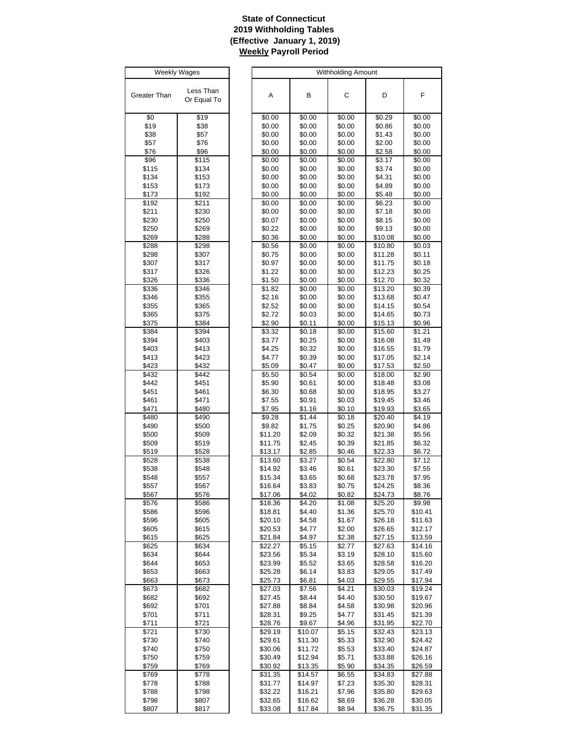# **State of Connecticut 2019 Withholding Tables (Effective January 1, 2019) Weekly Payroll Period**

| Weekly Wages |                          |  |  |  |  |
|--------------|--------------------------|--|--|--|--|
| Greater Than | Less Than<br>Or Equal To |  |  |  |  |
| \$0          | \$19                     |  |  |  |  |
| \$19         | \$38                     |  |  |  |  |
| \$38         | \$57                     |  |  |  |  |
| \$57         | \$76                     |  |  |  |  |
| \$76         | \$96                     |  |  |  |  |
| \$96         | \$115                    |  |  |  |  |
| \$115        | \$134                    |  |  |  |  |
| \$134        | \$153                    |  |  |  |  |
| \$153        | \$173                    |  |  |  |  |
| \$173        | \$192                    |  |  |  |  |
| \$192        | \$211                    |  |  |  |  |
| \$211        | \$230                    |  |  |  |  |
| \$230        | \$250                    |  |  |  |  |
| \$250        | \$269                    |  |  |  |  |
| \$269        | \$288                    |  |  |  |  |
| \$288        | \$298                    |  |  |  |  |
| \$298        | \$307                    |  |  |  |  |
| \$307        | \$317                    |  |  |  |  |
| \$317        | \$326                    |  |  |  |  |
| \$326        | \$336                    |  |  |  |  |
| \$336        | \$346                    |  |  |  |  |
| \$346        | \$355                    |  |  |  |  |
| \$355        | \$365                    |  |  |  |  |
| \$365        | \$375                    |  |  |  |  |
| \$375        | \$384                    |  |  |  |  |
| \$384        | \$394                    |  |  |  |  |
| \$394        | \$403                    |  |  |  |  |
| \$403        | \$413                    |  |  |  |  |
| \$413        | \$423                    |  |  |  |  |
| \$423        | \$432                    |  |  |  |  |
| \$432        | \$442                    |  |  |  |  |
| \$442        | \$451                    |  |  |  |  |
| \$451        | \$461                    |  |  |  |  |
| \$461        | \$471                    |  |  |  |  |
| \$471        | \$480                    |  |  |  |  |
| \$480        | \$490                    |  |  |  |  |
| \$490        | \$500                    |  |  |  |  |
| \$500        | \$509                    |  |  |  |  |
| \$509        | \$519                    |  |  |  |  |
| \$519        | \$528                    |  |  |  |  |
| \$528        | \$538                    |  |  |  |  |
| \$538        | \$548                    |  |  |  |  |
| \$548        | \$557                    |  |  |  |  |
| \$557        | \$567                    |  |  |  |  |
| \$567        | \$576                    |  |  |  |  |
| \$576        | \$586                    |  |  |  |  |
| \$586        | \$596                    |  |  |  |  |
| \$596        | \$605                    |  |  |  |  |
| \$605        | \$615                    |  |  |  |  |
| \$615        | \$625                    |  |  |  |  |
| \$625        | \$634                    |  |  |  |  |
| \$634        | \$644                    |  |  |  |  |
| \$644        | \$653                    |  |  |  |  |
| \$653        | \$663                    |  |  |  |  |
| \$663        | \$673                    |  |  |  |  |
| \$673        | \$682                    |  |  |  |  |
| \$682        | \$692                    |  |  |  |  |
| \$692        | \$701                    |  |  |  |  |
| \$701        | \$711                    |  |  |  |  |
| \$711        | \$721                    |  |  |  |  |
| \$721        | \$730                    |  |  |  |  |
| \$730        | \$740                    |  |  |  |  |
| \$740        | \$750                    |  |  |  |  |
| \$750        | \$759                    |  |  |  |  |
| \$759        | \$769                    |  |  |  |  |
| \$769        | \$778                    |  |  |  |  |
| \$778        | \$788                    |  |  |  |  |
| \$788        | \$798                    |  |  |  |  |
| \$798        | \$807                    |  |  |  |  |
| \$807        | \$817                    |  |  |  |  |

| Weekly Wages   |                |                  |                  | Withholding Amount |                  |                  |
|----------------|----------------|------------------|------------------|--------------------|------------------|------------------|
|                |                |                  |                  |                    |                  |                  |
|                | Less Than      |                  |                  |                    |                  |                  |
| ater Than      | Or Equal To    | Α                | В                | С                  | D                | F                |
|                |                |                  |                  |                    |                  |                  |
| \$0            | \$19           | \$0.00           | \$0.00           | \$0.00             | \$0.29           | \$0.00           |
|                |                |                  |                  |                    | \$0.86           |                  |
| \$19           | \$38           | \$0.00           | \$0.00           | \$0.00             |                  | \$0.00           |
| \$38           | \$57           | \$0.00           | \$0.00           | \$0.00             | \$1.43           | \$0.00           |
| \$57<br>\$76   | \$76<br>\$96   | \$0.00<br>\$0.00 | \$0.00<br>\$0.00 | \$0.00<br>\$0.00   | \$2.00<br>\$2.58 | \$0.00<br>\$0.00 |
|                |                |                  |                  |                    |                  |                  |
| \$96           | \$115          | \$0.00<br>\$0.00 | \$0.00<br>\$0.00 | \$0.00             | \$3.17<br>\$3.74 | \$0.00<br>\$0.00 |
| \$115<br>\$134 | \$134<br>\$153 | \$0.00           | \$0.00           | \$0.00<br>\$0.00   | \$4.31           | \$0.00           |
| \$153          | \$173          | \$0.00           | \$0.00           | \$0.00             | \$4.89           | \$0.00           |
| \$173          | \$192          | \$0.00           | \$0.00           | \$0.00             | \$5.48           | \$0.00           |
| \$192          | \$211          | \$0.00           | \$0.00           | \$0.00             | \$6.23           | \$0.00           |
| \$211          | \$230          | \$0.00           | \$0.00           | \$0.00             | \$7.18           | \$0.00           |
| \$230          | \$250          | \$0.07           | \$0.00           | \$0.00             | \$8.15           | \$0.00           |
| \$250          | \$269          | \$0.22           | \$0.00           | \$0.00             | \$9.13           | \$0.00           |
| \$269          | \$288          | \$0.36           | \$0.00           | \$0.00             | \$10.08          | \$0.00           |
| \$288          | \$298          | \$0.56           | $\sqrt{$0.00}$   | \$0.00             | \$10.80          | \$0.03           |
| \$298          | \$307          | \$0.75           | \$0.00           | \$0.00             | \$11.28          | \$0.11           |
| \$307          | \$317          | \$0.97           | \$0.00           | \$0.00             | \$11.75          | \$0.18           |
| \$317          | \$326          | \$1.22           | \$0.00           | \$0.00             | \$12.23          | \$0.25           |
| \$326          | \$336          | \$1.50           | \$0.00           | \$0.00             | \$12.70          | \$0.32           |
| \$336          | \$346          | \$1.82           | \$0.00           | \$0.00             | \$13.20          | \$0.39           |
| \$346          | \$355          | \$2.16           | \$0.00           | \$0.00             | \$13.68          | \$0.47           |
| \$355          | \$365          | \$2.52           | \$0.00           | \$0.00             | \$14.15          | \$0.54           |
| \$365          | \$375          | \$2.72           | \$0.03           | \$0.00             | \$14.65          | \$0.73           |
| \$375          | \$384          | \$2.90           | \$0.11           | \$0.00             | \$15.13          | \$0.96           |
| \$384          | \$394          | \$3.32           | \$0.18           | \$0.00             | \$15.60          | \$1.21           |
| \$394          | \$403          | \$3.77           | \$0.25           | \$0.00             | \$16.08          | \$1.49           |
| \$403          | \$413          | \$4.25           | \$0.32           | \$0.00             | \$16.55          | \$1.79           |
| \$413          | \$423          | \$4.77           | \$0.39           | \$0.00             | \$17.05          | \$2.14           |
| \$423          | \$432          | \$5.09           | \$0.47           | \$0.00             | \$17.53          | \$2.50           |
| \$432          | \$442          | \$5.50           | \$0.54           | \$0.00             | \$18.00          | \$2.90           |
| \$442          | \$451          | \$5.90           | \$0.61           | \$0.00             | \$18.48          | \$3.08           |
| \$451          | \$461          | \$6.30           | \$0.68           | \$0.00             | \$18.95          | \$3.27           |
| \$461          | \$471          | \$7.55           | \$0.91           | \$0.03             | \$19.45          | \$3.46           |
| \$471          | \$480          | \$7.95           | \$1.16           | \$0.10             | \$19.93          | \$3.65           |
| \$480          | \$490          | \$9.28           | \$1.44           | \$0.18             | \$20.40          | \$4.19           |
| \$490          | \$500          | \$9.82           | \$1.75           | \$0.25             | \$20.90          | \$4.86           |
| \$500          | \$509          | \$11.20          | \$2.09           | \$0.32             | \$21.38          | \$5.56           |
| \$509          | \$519          | \$11.75          | \$2.45           | \$0.39             | \$21.85          | \$6.32           |
| \$519          | \$528          | \$13.17          | \$2.85           | \$0.46             | \$22.33          | \$6.72           |
| \$528          | \$538          | \$13.60          | \$3.27           | \$0.54             | \$22.80          | \$7.12           |
| \$538          | \$548          | \$14.92          | \$3.46           | \$0.61             | \$23.30          | \$7.55           |
| \$548          | \$557          | \$15.34          | \$3.65           | \$0.68             | \$23.78          | \$7.95           |
| \$557          | \$567          | \$16.64          | \$3.83           | \$0.75             | \$24.25          | \$8.36           |
| \$567          | \$576          | \$17.06          | \$4.02           | \$0.82             | \$24.73          | \$8.76           |
| \$576          | \$586          | \$18.36          | \$4.20           | \$1.08             | \$25.20          | \$9.98           |
| \$586          | \$596          | \$18.81          | \$4.40           | \$1.36             | \$25.70          | \$10.41          |
| \$596          | \$605          | \$20.10          | \$4.58           | \$1.67             | \$26.18          | \$11.63          |
| \$605          | \$615          | \$20.53          | \$4.77           | \$2.00             | \$26.65          | \$12.17          |
| \$615          | \$625          | \$21.84          | \$4.97           | \$2.38             | \$27.15          | \$13.59          |
| \$625          | \$634          | \$22.27          | \$5.15           | \$2.77             | \$27.63          | \$14.16          |
| \$634          | \$644          | \$23.56          | \$5.34           | \$3.19             | \$28.10          | \$15.60          |
| \$644          | \$653          | \$23.99          | \$5.52           | \$3.65             | \$28.58          | \$16.20          |
| \$653          | \$663          | \$25.28          | \$6.14           | \$3.83             | \$29.05          | \$17.49          |
| \$663          | \$673          | \$25.73          | \$6.81           | \$4.03             | \$29.55          | \$17.94          |
| \$673          | \$682          | \$27.03          | \$7.56           | \$4.21             | \$30.03          | \$19.24          |
| \$682          | \$692          | \$27.45          | \$8.44           | \$4.40             | \$30.50          | \$19.67          |
| \$692          | \$701          | \$27.88          | \$8.84           | \$4.58             | \$30.98          | \$20.96          |
| \$701          | \$711          | \$28.31          | \$9.25           | \$4.77             | \$31.45          | \$21.39          |
| \$711          | \$721          | \$28.76          | \$9.67           | \$4.96             | \$31.95          | \$22.70          |
| \$721          | \$730          | \$29.19          | \$10.07          | \$5.15             | \$32.43          | \$23.13          |
| \$730          | \$740          | \$29.61          | \$11.30          | \$5.33             | \$32.90          | \$24.42          |
| \$740          | \$750          | \$30.06          | \$11.72          | \$5.53             | \$33.40          | \$24.87          |
| \$750          | \$759          | \$30.49          | \$12.94          | \$5.71             | \$33.88          | \$26.16          |
| \$759          | \$769          | \$30.92          | \$13.35          | \$5.90             | \$34.35          | \$26.59          |
| \$769          | \$778          | \$31.35          | \$14.57          | \$6.55             | \$34.83          | \$27.88          |
| \$778          | \$788          | \$31.77          | \$14.97          | \$7.23             | \$35.30          | \$28.31          |
| \$788          | \$798          | \$32.22          | \$16.21          | \$7.96             | \$35.80          | \$29.63          |
| \$798          | \$807          | \$32.65          | \$16.62          | \$8.69             | \$36.28          | \$30.05          |
| \$807          | \$817          | \$33.08          | \$17.84          | \$8.94             | \$36.75          | \$31.35          |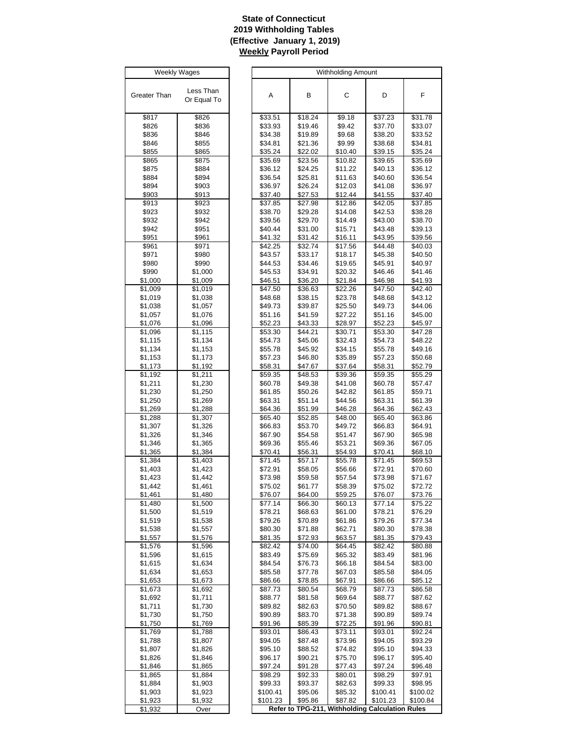# **State of Connecticut 2019 Withholding Tables (Effective January 1, 2019) Weekly Payroll Period**

| Weekly Wages       |                                 |  |  |  |  |
|--------------------|---------------------------------|--|--|--|--|
|                    |                                 |  |  |  |  |
| Greater Than       | Less Than                       |  |  |  |  |
|                    | Or Equal To                     |  |  |  |  |
| \$817              | \$826                           |  |  |  |  |
| \$826              | \$836                           |  |  |  |  |
| \$836              | \$846                           |  |  |  |  |
| \$846              | \$855                           |  |  |  |  |
| \$855<br>\$865     | \$865<br>\$875                  |  |  |  |  |
| \$875              | \$884                           |  |  |  |  |
| \$884              | \$894                           |  |  |  |  |
| \$894              | \$903                           |  |  |  |  |
| \$903              | \$913                           |  |  |  |  |
| \$913<br>\$923     | \$923<br>\$932                  |  |  |  |  |
| \$932              | \$942                           |  |  |  |  |
| \$942              | \$951                           |  |  |  |  |
| \$951              | \$961                           |  |  |  |  |
| \$961              | \$971<br>\$980                  |  |  |  |  |
| \$971<br>\$980     | \$990                           |  |  |  |  |
| \$990              | \$1,000                         |  |  |  |  |
| \$1,000            | \$1,009                         |  |  |  |  |
| \$1,009            | \$1,019                         |  |  |  |  |
| \$1,019            | \$1,038                         |  |  |  |  |
| \$1,038<br>\$1,057 | \$1,057<br>\$1,076              |  |  |  |  |
| \$1,076            | \$1,096                         |  |  |  |  |
| \$1,096            | \$1,115                         |  |  |  |  |
| \$1,115            | \$1,134                         |  |  |  |  |
| \$1,134            | \$1,153                         |  |  |  |  |
| \$1,153<br>\$1,173 | \$1,173<br>\$1,192              |  |  |  |  |
| \$1,192            | \$1,211                         |  |  |  |  |
| \$1,211            | \$1,230                         |  |  |  |  |
| \$1,230            | \$1,250                         |  |  |  |  |
| \$1,250            | \$1,269                         |  |  |  |  |
| \$1,269            | \$1,288                         |  |  |  |  |
| \$1,288<br>\$1,307 | $\overline{\$1,307}$<br>\$1,326 |  |  |  |  |
| \$1,326            | \$1,346                         |  |  |  |  |
| \$1,346            | \$1,365                         |  |  |  |  |
| \$1,365            | <u>\$1,384</u>                  |  |  |  |  |
| \$1,384            | \$1,403                         |  |  |  |  |
| \$1,403<br>\$1,423 | \$1,423<br>\$1,442              |  |  |  |  |
| \$1,442            | \$1,461                         |  |  |  |  |
| \$1,461            | \$1,480                         |  |  |  |  |
| \$1,480            | \$1,500                         |  |  |  |  |
| \$1,500            | \$1,519                         |  |  |  |  |
| \$1,519<br>\$1,538 | \$1,538<br>\$1,557              |  |  |  |  |
| \$1,557            | \$1,576                         |  |  |  |  |
| \$1,576            | \$1,596                         |  |  |  |  |
| \$1,596            | \$1,615                         |  |  |  |  |
| \$1,615            | \$1,634                         |  |  |  |  |
| \$1,634            | \$1,653                         |  |  |  |  |
| \$1,653<br>\$1,673 | \$1,673<br>\$1,692              |  |  |  |  |
| \$1,692            | \$1,711                         |  |  |  |  |
| \$1,711            | \$1,730                         |  |  |  |  |
| \$1,730            | \$1,750                         |  |  |  |  |
| \$1,750            | \$1,769                         |  |  |  |  |
| \$1,769<br>\$1,788 | \$1,788<br>\$1,807              |  |  |  |  |
| \$1,807            | \$1,826                         |  |  |  |  |
| \$1,826            | \$1,846                         |  |  |  |  |
| \$1,846            | \$1,865                         |  |  |  |  |
| \$1,865            | \$1,884                         |  |  |  |  |
| \$1,884            | \$1,903                         |  |  |  |  |
| \$1,903<br>\$1,923 | \$1,923<br>\$1,932              |  |  |  |  |
| \$1,932            | Over                            |  |  |  |  |

| <b>Weekly Wages</b> |                    |                    |                    | <b>Withholding Amount</b>                       |                    |                    |
|---------------------|--------------------|--------------------|--------------------|-------------------------------------------------|--------------------|--------------------|
|                     |                    |                    |                    |                                                 |                    |                    |
| eater Than          | Less Than          | Α                  | В                  | C                                               | D                  | F                  |
|                     | Or Equal To        |                    |                    |                                                 |                    |                    |
|                     |                    |                    |                    |                                                 |                    |                    |
| \$817               | \$826              | \$33.51            | \$18.24            | \$9.18                                          | \$37.23            | \$31.78            |
| \$826               | \$836              | \$33.93            | \$19.46            | \$9.42                                          | \$37.70            | \$33.07            |
| \$836               | \$846              | \$34.38            | \$19.89            | \$9.68                                          | \$38.20            | \$33.52            |
| \$846               | \$855              | \$34.81            | \$21.36            | \$9.99                                          | \$38.68            | \$34.81            |
| \$855               | \$865              | \$35.24            | \$22.02            | \$10.40                                         | \$39.15            | \$35.24            |
| \$865<br>\$875      | \$875<br>\$884     | \$35.69<br>\$36.12 | \$23.56<br>\$24.25 | \$10.82<br>\$11.22                              | \$39.65<br>\$40.13 | \$35.69<br>\$36.12 |
| \$884               | \$894              | \$36.54            | \$25.81            | \$11.63                                         | \$40.60            | \$36.54            |
| \$894               | \$903              | \$36.97            | \$26.24            | \$12.03                                         | \$41.08            | \$36.97            |
| \$903               | \$913              | \$37.40            | \$27.53            | \$12.44                                         | \$41.55            | \$37.40            |
| \$913               | \$923              | \$37.85            | \$27.98            | \$12.86                                         | \$42.05            | \$37.85            |
| \$923               | \$932              | \$38.70            | \$29.28            | \$14.08                                         | \$42.53            | \$38.28            |
| \$932               | \$942              | \$39.56            | \$29.70            | \$14.49                                         | \$43.00            | \$38.70            |
| \$942               | \$951              | \$40.44            | \$31.00            | \$15.71                                         | \$43.48            | \$39.13            |
| \$951               | \$961              | \$41.32            | \$31.42            | \$16.11                                         | \$43.95            | \$39.56            |
| \$961               | \$971              | \$42.25            | \$32.74            | \$17.56                                         | \$44.48            | \$40.03            |
| \$971               | \$980              | \$43.57            | \$33.17            | \$18.17                                         | \$45.38            | \$40.50            |
| \$980               | \$990              | \$44.53            | \$34.46            | \$19.65<br>\$20.32                              | \$45.91            | \$40.97            |
| \$990<br>\$1,000    | \$1,000<br>\$1,009 | \$45.53<br>\$46.51 | \$34.91<br>\$36.20 | \$21.84                                         | \$46.46<br>\$46.98 | \$41.46<br>\$41.93 |
| \$1,009             | \$1,019            | \$47.50            | \$36.63            | \$22.26                                         | \$47.50            | \$42.40            |
| \$1,019             | \$1,038            | \$48.68            | \$38.15            | \$23.78                                         | \$48.68            | \$43.12            |
| \$1,038             | \$1,057            | \$49.73            | \$39.87            | \$25.50                                         | \$49.73            | \$44.06            |
| \$1,057             | \$1,076            | \$51.16            | \$41.59            | \$27.22                                         | \$51.16            | \$45.00            |
| \$1,076             | \$1,096            | \$52.23            | \$43.33            | \$28.97                                         | \$52.23            | \$45.97            |
| \$1,096             | \$1,115            | \$53.30            | \$44.21            | \$30.71                                         | \$53.30            | \$47.28            |
| \$1,115             | \$1,134            | \$54.73            | \$45.06            | \$32.43                                         | \$54.73            | \$48.22            |
| \$1,134             | \$1,153            | \$55.78            | \$45.92            | \$34.15                                         | \$55.78            | \$49.16            |
| \$1,153             | \$1,173            | \$57.23            | \$46.80            | \$35.89                                         | \$57.23            | \$50.68            |
| \$1,173             | \$1,192            | \$58.31            | \$47.67            | \$37.64                                         | \$58.31            | \$52.79            |
| \$1,192<br>\$1,211  | \$1,211<br>\$1,230 | \$59.35<br>\$60.78 | \$48.53            | \$39.36<br>\$41.08                              | \$59.35<br>\$60.78 | \$55.29            |
| \$1,230             | \$1,250            | \$61.85            | \$49.38<br>\$50.26 | \$42.82                                         | \$61.85            | \$57.47<br>\$59.71 |
| \$1,250             | \$1,269            | \$63.31            | \$51.14            | \$44.56                                         | \$63.31            | \$61.39            |
| \$1,269             | \$1,288            | \$64.36            | \$51.99            | \$46.28                                         | \$64.36            | \$62.43            |
| \$1,288             | \$1,307            | \$65.40            | \$52.85            | \$48.00                                         | \$65.40            | \$63.86            |
| \$1,307             | \$1,326            | \$66.83            | \$53.70            | \$49.72                                         | \$66.83            | \$64.91            |
| \$1,326             | \$1,346            | \$67.90            | \$54.58            | \$51.47                                         | \$67.90            | \$65.98            |
| \$1,346             | \$1,365            | \$69.36            | \$55.46            | \$53.21                                         | \$69.36            | \$67.05            |
| \$1,365             | \$1,384            | \$70.41            | \$56.31            | \$54.93                                         | \$70.41            | \$68.10            |
| \$1,384             | \$1,403            | \$71.45            | \$57.17            | \$55.78                                         | \$71.45            | \$69.53            |
| \$1,403<br>\$1,423  | \$1,423<br>\$1,442 | \$72.91<br>\$73.98 | \$58.05<br>\$59.58 | \$56.66<br>\$57.54                              | \$72.91<br>\$73.98 | \$70.60<br>\$71.67 |
| \$1,442             | \$1,461            | \$75.02            | \$61.77            | \$58.39                                         | \$75.02            | \$72.72            |
| \$1,461             | \$1,480            | \$76.07            | \$64.00            | \$59.25                                         | \$76.07            | \$73.76            |
| \$1,480             | \$1,500            | \$77.14            | \$66.30            | \$60.13                                         | \$77.14            | \$75.22            |
| \$1,500             | \$1,519            | \$78.21            | \$68.63            | \$61.00                                         | \$78.21            | \$76.29            |
| \$1,519             | \$1,538            | \$79.26            | \$70.89            | \$61.86                                         | \$79.26            | \$77.34            |
| \$1,538             | \$1,557            | \$80.30            | \$71.88            | \$62.71                                         | \$80.30            | \$78.38            |
| \$1,557             | \$1,576            | \$81.35            | \$72.93            | \$63.57                                         | \$81.35            | \$79.43            |
| $\overline{$1,576}$ | \$1,596            | \$82.42            | \$74.00            | \$64.45                                         | \$82.42            | \$80.88            |
| \$1,596<br>\$1,615  | \$1,615            | \$83.49            | \$75.69            | \$65.32                                         | \$83.49            | \$81.96            |
| \$1,634             | \$1,634<br>\$1,653 | \$84.54<br>\$85.58 | \$76.73<br>\$77.78 | \$66.18<br>\$67.03                              | \$84.54<br>\$85.58 | \$83.00<br>\$84.05 |
| \$1,653             | \$1,673            | \$86.66            | \$78.85            | \$67.91                                         | \$86.66            | \$85.12            |
| \$1,673             | \$1,692            | \$87.73            | \$80.54            | \$68.79                                         | \$87.73            | \$86.58            |
| \$1,692             | \$1,711            | \$88.77            | \$81.58            | \$69.64                                         | \$88.77            | \$87.62            |
| \$1,711             | \$1,730            | \$89.82            | \$82.63            | \$70.50                                         | \$89.82            | \$88.67            |
| \$1,730             | \$1,750            | \$90.89            | \$83.70            | \$71.38                                         | \$90.89            | \$89.74            |
| \$1,750             | \$1,769            | \$91.96            | \$85.39            | \$72.25                                         | \$91.96            | \$90.81            |
| \$1,769             | \$1,788            | \$93.01            | \$86.43            | \$73.11                                         | \$93.01            | \$92.24            |
| \$1,788             | \$1,807            | \$94.05            | \$87.48            | \$73.96                                         | \$94.05            | \$93.29            |
| \$1,807             | \$1,826            | \$95.10            | \$88.52            | \$74.82                                         | \$95.10            | \$94.33            |
| \$1,826<br>\$1,846  | \$1,846            | \$96.17<br>\$97.24 | \$90.21<br>\$91.28 | \$75.70<br>\$77.43                              | \$96.17<br>\$97.24 | \$95.40<br>\$96.48 |
| \$1,865             | \$1,865<br>\$1,884 | \$98.29            | \$92.33            | \$80.01                                         | \$98.29            | \$97.91            |
| \$1,884             | \$1,903            | \$99.33            | \$93.37            | \$82.63                                         | \$99.33            | \$98.95            |
| \$1,903             | \$1,923            | \$100.41           | \$95.06            | \$85.32                                         | \$100.41           | \$100.02           |
| \$1,923             | \$1,932            | \$101.23           | \$95.86            | \$87.82                                         | \$101.23           | \$100.84           |
| \$1,932             | Over               |                    |                    | Refer to TPG-211, Withholding Calculation Rules |                    |                    |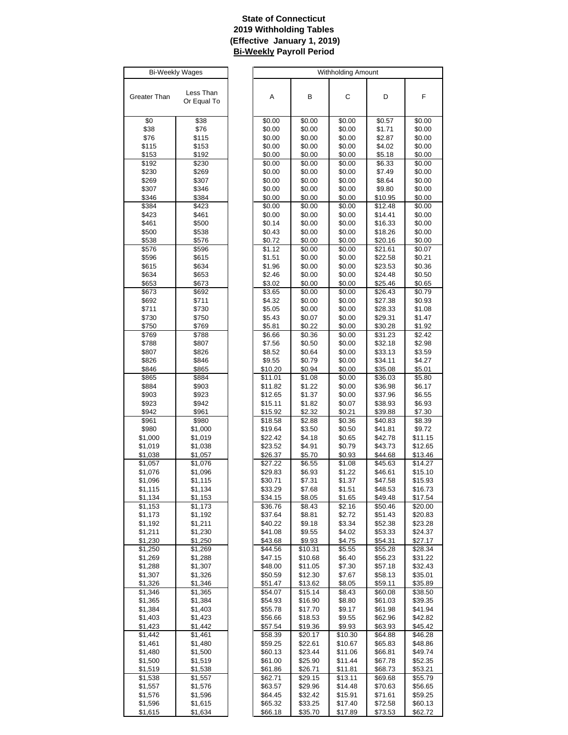# **State of Connecticut 2019 Withholding Tables (Effective January 1, 2019) Bi-Weekly Payroll Period**

| Bi-Weekly Wages       |                       |  |  |  |
|-----------------------|-----------------------|--|--|--|
|                       |                       |  |  |  |
|                       | Less Than             |  |  |  |
| Greater Than          | Or Equal To           |  |  |  |
|                       |                       |  |  |  |
| \$0                   | \$38                  |  |  |  |
| \$38                  | \$76                  |  |  |  |
| \$76                  | \$115                 |  |  |  |
| \$115                 | \$153                 |  |  |  |
| \$153                 | \$192                 |  |  |  |
| \$192                 | \$230                 |  |  |  |
| \$230                 | \$269                 |  |  |  |
| \$269                 | \$307                 |  |  |  |
| \$307                 | \$346                 |  |  |  |
| \$346                 | \$384                 |  |  |  |
| \$384                 | \$423                 |  |  |  |
| \$423                 | \$461                 |  |  |  |
| \$461                 | \$500                 |  |  |  |
| \$500                 | \$538                 |  |  |  |
| \$538<br>\$576        | \$576<br>\$596        |  |  |  |
| \$596                 |                       |  |  |  |
| \$615                 | \$615<br>\$634        |  |  |  |
| \$634                 | \$653                 |  |  |  |
| \$653                 | \$673                 |  |  |  |
| \$673                 | \$692                 |  |  |  |
| \$692                 | \$711                 |  |  |  |
| \$711                 | \$730                 |  |  |  |
| \$730                 | \$750                 |  |  |  |
| \$750                 | \$769                 |  |  |  |
| \$769                 | \$788                 |  |  |  |
| \$788                 | \$807                 |  |  |  |
| \$807                 | \$826                 |  |  |  |
| \$826                 | \$846                 |  |  |  |
| \$846                 | \$865                 |  |  |  |
| \$865                 | \$884                 |  |  |  |
| \$884                 | \$903                 |  |  |  |
| \$903                 | \$923                 |  |  |  |
| \$923                 | \$942                 |  |  |  |
| \$942<br>\$961        | \$961<br>\$980        |  |  |  |
| \$980                 | \$1,000               |  |  |  |
| \$1,000               | \$1,019               |  |  |  |
| \$1,019               | \$1,038               |  |  |  |
| \$1,038               | \$ <u>1,057</u>       |  |  |  |
| $\overline{\$}$ 1,057 | $\overline{\$}$ 1,076 |  |  |  |
| \$1,076               | \$1,096               |  |  |  |
| \$1,096               | \$1,115               |  |  |  |
| \$1,115               | \$1,134               |  |  |  |
| \$1,134               | \$1,153               |  |  |  |
| \$1,153               | \$1,173               |  |  |  |
| \$1,173               | \$1,192               |  |  |  |
| \$1,192               | \$1,211               |  |  |  |
| \$1,211               | \$1,230               |  |  |  |
| \$1,230               | \$1,250               |  |  |  |
| \$1,250               | \$1,269               |  |  |  |
| \$1,269               | \$1,288               |  |  |  |
| \$1,288               | \$1,307               |  |  |  |
| \$1,307               | \$1,326<br>\$1.346    |  |  |  |
| \$1,326<br>\$1,346    | \$1,365               |  |  |  |
| \$1,365               | \$1,384               |  |  |  |
| \$1,384               | \$1,403               |  |  |  |
| \$1,403               | \$1,423               |  |  |  |
| \$1,423               | \$1,442               |  |  |  |
| \$1,442               | \$1,461               |  |  |  |
| \$1,461               | \$1,480               |  |  |  |
| \$1,480               | \$1,500               |  |  |  |
| \$1,500               | \$1,519               |  |  |  |
| \$1,519               | \$1,538               |  |  |  |
| \$1,538               | \$1,557               |  |  |  |
| \$1,557               | \$1,576               |  |  |  |
| \$1,576               | \$1,596               |  |  |  |
| \$1,596               | \$1,615               |  |  |  |
| \$ <u>1,615</u>       | \$1,634               |  |  |  |

| <b>Bi-Weekly Wages</b> |             |         | <b>Withholding Amount</b> |         |         |         |  |
|------------------------|-------------|---------|---------------------------|---------|---------|---------|--|
|                        |             |         |                           |         |         |         |  |
|                        |             |         |                           |         |         |         |  |
| eater Than             | Less Than   | Α       | В                         | C       | D       | F       |  |
|                        | Or Equal To |         |                           |         |         |         |  |
|                        |             |         |                           |         |         |         |  |
|                        |             |         |                           |         |         |         |  |
| \$0                    | \$38        | \$0.00  | \$0.00                    | \$0.00  | \$0.57  | \$0.00  |  |
| \$38                   | \$76        | \$0.00  | \$0.00                    | \$0.00  | \$1.71  | \$0.00  |  |
| \$76                   | \$115       | \$0.00  | \$0.00                    | \$0.00  | \$2.87  | \$0.00  |  |
| \$115                  | \$153       | \$0.00  | \$0.00                    | \$0.00  | \$4.02  | \$0.00  |  |
|                        |             |         |                           |         |         |         |  |
| \$153                  | \$192       | \$0.00  | \$0.00                    | \$0.00  | \$5.18  | \$0.00  |  |
| \$192                  | \$230       | \$0.00  | \$0.00                    | \$0.00  | \$6.33  | \$0.00  |  |
| \$230                  | \$269       | \$0.00  | \$0.00                    | \$0.00  | \$7.49  | \$0.00  |  |
| \$269                  | \$307       | \$0.00  | \$0.00                    | \$0.00  | \$8.64  | \$0.00  |  |
|                        |             |         |                           |         |         |         |  |
| \$307                  | \$346       | \$0.00  | \$0.00                    | \$0.00  | \$9.80  | \$0.00  |  |
| \$346                  | \$384       | \$0.00  | \$0.00                    | \$0.00  | \$10.95 | \$0.00  |  |
| \$384                  | \$423       | \$0.00  | \$0.00                    | \$0.00  | \$12.48 | \$0.00  |  |
| \$423                  | \$461       | \$0.00  | \$0.00                    | \$0.00  | \$14.41 | \$0.00  |  |
| \$461                  | \$500       | \$0.14  | \$0.00                    | \$0.00  | \$16.33 | \$0.00  |  |
|                        |             |         |                           |         |         |         |  |
| \$500                  | \$538       | \$0.43  | \$0.00                    | \$0.00  | \$18.26 | \$0.00  |  |
| \$538                  | \$576       | \$0.72  | \$0.00                    | \$0.00  | \$20.16 | \$0.00  |  |
| \$576                  | \$596       | \$1.12  | \$0.00                    | \$0.00  | \$21.61 | \$0.07  |  |
| \$596                  | \$615       | \$1.51  | \$0.00                    | \$0.00  | \$22.58 | \$0.21  |  |
|                        |             |         |                           |         |         |         |  |
| \$615                  | \$634       | \$1.96  | \$0.00                    | \$0.00  | \$23.53 | \$0.36  |  |
| \$634                  | \$653       | \$2.46  | \$0.00                    | \$0.00  | \$24.48 | \$0.50  |  |
| \$653                  | \$673       | \$3.02  | \$0.00                    | \$0.00  | \$25.46 | \$0.65  |  |
| \$673                  | \$692       | \$3.65  | \$0.00                    | \$0.00  | \$26.43 | \$0.79  |  |
| \$692                  | \$711       | \$4.32  | \$0.00                    | \$0.00  | \$27.38 | \$0.93  |  |
|                        |             |         |                           |         |         |         |  |
| \$711                  | \$730       | \$5.05  | \$0.00                    | \$0.00  | \$28.33 | \$1.08  |  |
| \$730                  | \$750       | \$5.43  | \$0.07                    | \$0.00  | \$29.31 | \$1.47  |  |
| \$750                  | \$769       | \$5.81  | \$0.22                    | \$0.00  | \$30.28 | \$1.92  |  |
| \$769                  | \$788       | \$6.66  | \$0.36                    | \$0.00  | \$31.23 | \$2.42  |  |
| \$788                  | \$807       | \$7.56  | \$0.50                    | \$0.00  | \$32.18 | \$2.98  |  |
| \$807                  | \$826       | \$8.52  | \$0.64                    | \$0.00  | \$33.13 | \$3.59  |  |
|                        |             |         |                           |         |         |         |  |
| \$826                  | \$846       | \$9.55  | \$0.79                    | \$0.00  | \$34.11 | \$4.27  |  |
| \$846                  | \$865       | \$10.20 | \$0.94                    | \$0.00  | \$35.08 | \$5.01  |  |
| \$865                  | \$884       | \$11.01 | $\overline{$}1.08$        | \$0.00  | \$36.03 | \$5.80  |  |
| \$884                  | \$903       | \$11.82 | \$1.22                    | \$0.00  | \$36.98 | \$6.17  |  |
| \$903                  | \$923       | \$12.65 | \$1.37                    | \$0.00  | \$37.96 | \$6.55  |  |
| \$923                  | \$942       | \$15.11 | \$1.82                    | \$0.07  | \$38.93 | \$6.93  |  |
| \$942                  | \$961       | \$15.92 | \$2.32                    | \$0.21  | \$39.88 | \$7.30  |  |
| \$961                  | \$980       | \$18.58 | \$2.88                    | \$0.36  | \$40.83 | \$8.39  |  |
| \$980                  | \$1,000     | \$19.64 | \$3.50                    | \$0.50  | \$41.81 | \$9.72  |  |
|                        |             |         |                           |         |         |         |  |
| \$1,000                | \$1,019     | \$22.42 | \$4.18                    | \$0.65  | \$42.78 | \$11.15 |  |
| \$1,019                | \$1,038     | \$23.52 | \$4.91                    | \$0.79  | \$43.73 | \$12.65 |  |
| \$1,038                | \$1,057     | \$26.37 | \$5.70                    | \$0.93  | \$44.68 | \$13.46 |  |
| \$1,057                | \$1,076     | \$27.22 | \$6.55                    | \$1.08  | \$45.63 | \$14.27 |  |
| \$1,076                | \$1,096     | \$29.83 | \$6.93                    | \$1.22  | \$46.61 | \$15.10 |  |
| \$1,096                | \$1,115     | \$30.71 | \$7.31                    | \$1.37  | \$47.58 | \$15.93 |  |
| \$1,115                |             |         |                           |         |         |         |  |
|                        | \$1,134     | \$33.29 | \$7.68                    | \$1.51  | \$48.53 | \$16.73 |  |
| \$1,134                | \$1,153     | \$34.15 | \$8.05                    | \$1.65  | \$49.48 | \$17.54 |  |
| \$1,153                | \$1,173     | \$36.76 | \$8.43                    | \$2.16  | \$50.46 | \$20.00 |  |
| \$1,173                | \$1,192     | \$37.64 | \$8.81                    | \$2.72  | \$51.43 | \$20.83 |  |
| \$1,192                | \$1,211     | \$40.22 | \$9.18                    | \$3.34  | \$52.38 | \$23.28 |  |
| \$1,211                | \$1,230     | \$41.08 | \$9.55                    | \$4.02  | \$53.33 | \$24.37 |  |
| \$1,230                | \$1,250     | \$43.68 | \$9.93                    | \$4.75  | \$54.31 | \$27.17 |  |
|                        |             |         |                           |         |         |         |  |
| \$1,250                | \$1,269     | \$44.56 | \$10.31                   | \$5.55  | \$55.28 | \$28.34 |  |
| \$1,269                | \$1,288     | \$47.15 | \$10.68                   | \$6.40  | \$56.23 | \$31.22 |  |
| \$1,288                | \$1,307     | \$48.00 | \$11.05                   | \$7.30  | \$57.18 | \$32.43 |  |
| \$1,307                | \$1,326     | \$50.59 | \$12.30                   | \$7.67  | \$58.13 | \$35.01 |  |
| \$1,326                | \$1,346     | \$51.47 | \$13.62                   | \$8.05  | \$59.11 | \$35.89 |  |
| $\sqrt{31,346}$        | \$1,365     | \$54.07 | \$15.14                   | \$8.43  | \$60.08 | \$38.50 |  |
|                        |             |         |                           |         |         |         |  |
| \$1,365                | \$1,384     | \$54.93 | \$16.90                   | \$8.80  | \$61.03 | \$39.35 |  |
| \$1,384                | \$1,403     | \$55.78 | \$17.70                   | \$9.17  | \$61.98 | \$41.94 |  |
| \$1,403                | \$1,423     | \$56.66 | \$18.53                   | \$9.55  | \$62.96 | \$42.82 |  |
| \$1,423                | \$1,442     | \$57.54 | \$19.36                   | \$9.93  | \$63.93 | \$45.42 |  |
| $\overline{\$1,442}$   | \$1,461     | \$58.39 | \$20.17                   | \$10.30 | \$64.88 | \$46.28 |  |
| \$1,461                | \$1,480     | \$59.25 | \$22.61                   | \$10.67 | \$65.83 | \$48.86 |  |
| \$1,480                | \$1,500     | \$60.13 | \$23.44                   | \$11.06 | \$66.81 | \$49.74 |  |
|                        |             |         |                           |         |         |         |  |
| \$1,500                | \$1,519     | \$61.00 | \$25.90                   | \$11.44 | \$67.78 | \$52.35 |  |
| \$1,519                | \$1,538     | \$61.86 | \$26.71                   | \$11.81 | \$68.73 | \$53.21 |  |
| \$1,538                | \$1,557     | \$62.71 | \$29.15                   | \$13.11 | \$69.68 | \$55.79 |  |
| \$1,557                | \$1,576     | \$63.57 | \$29.96                   | \$14.48 | \$70.63 | \$56.65 |  |
| \$1,576                | \$1,596     | \$64.45 | \$32.42                   | \$15.91 | \$71.61 | \$59.25 |  |
| \$1,596                | \$1,615     | \$65.32 | \$33.25                   | \$17.40 | \$72.58 | \$60.13 |  |
| \$1,615                | \$1,634     | \$66.18 | \$35.70                   | \$17.89 | \$73.53 | \$62.72 |  |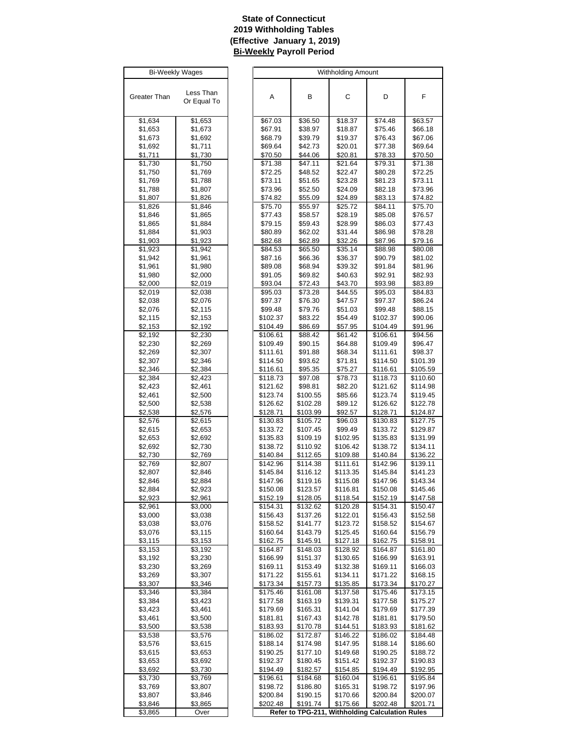# **State of Connecticut 2019 Withholding Tables (Effective January 1, 2019) Bi-Weekly Payroll Period**

| <b>Bi-Weekly Wages</b> |                     |  |  |  |  |
|------------------------|---------------------|--|--|--|--|
|                        |                     |  |  |  |  |
| Greater Than           | Less Than           |  |  |  |  |
|                        | Or Equal To         |  |  |  |  |
| \$1,634                | \$1,653             |  |  |  |  |
| \$1,653                | \$1,673             |  |  |  |  |
| \$1,673                | \$1,692             |  |  |  |  |
| \$1,692                | \$1,711             |  |  |  |  |
| <u>\$1,711</u>         | \$1,730             |  |  |  |  |
| \$1,730                | \$1,750             |  |  |  |  |
| \$1,750                | \$1,769             |  |  |  |  |
| \$1,769<br>\$1,788     | \$1,788<br>\$1,807  |  |  |  |  |
| \$1,807                | \$1,826             |  |  |  |  |
| \$1,826                | \$1,846             |  |  |  |  |
| \$1,846                | \$1,865             |  |  |  |  |
| \$1,865                | \$1,884             |  |  |  |  |
| \$1,884                | \$1,903             |  |  |  |  |
| \$1,903                | \$1,923             |  |  |  |  |
| \$1,923<br>\$1,942     | \$1,942             |  |  |  |  |
| \$1,961                | \$1,961<br>\$1,980  |  |  |  |  |
| \$1,980                | \$2,000             |  |  |  |  |
| \$2,000                | \$2,019             |  |  |  |  |
| \$2,019                | \$2,038             |  |  |  |  |
| \$2,038                | \$2,076             |  |  |  |  |
| \$2,076                | \$2,115             |  |  |  |  |
| \$2,115                | \$2,153             |  |  |  |  |
| \$2,153<br>\$2,192     | \$2,192<br>\$2,230  |  |  |  |  |
| \$2,230                | \$2,269             |  |  |  |  |
| \$2,269                | \$2,307             |  |  |  |  |
| \$2,307                | \$2,346             |  |  |  |  |
| \$2,346                | \$2,384             |  |  |  |  |
| \$2,384                | \$2,423             |  |  |  |  |
| \$2,423                | \$2,461             |  |  |  |  |
| \$2,461<br>\$2,500     | \$2,500<br>\$2,538  |  |  |  |  |
| \$2,538                | \$2,576             |  |  |  |  |
| \$2,576                | \$2,615             |  |  |  |  |
| \$2,615                | \$2,653             |  |  |  |  |
| \$2,653                | \$2,692             |  |  |  |  |
| \$2,692                | \$2,730             |  |  |  |  |
| \$2,730                | \$2,769             |  |  |  |  |
| \$2,769<br>\$2,807     | \$2,807<br>\$2,846  |  |  |  |  |
| \$2.846                | \$2.884             |  |  |  |  |
| \$2,884                | \$2,923             |  |  |  |  |
| \$2,923                | \$2,961             |  |  |  |  |
| \$2,961                | $\overline{$}3,000$ |  |  |  |  |
| \$3,000                | \$3,038             |  |  |  |  |
| \$3,038<br>\$3,076     | \$3,076<br>\$3,115  |  |  |  |  |
| \$3,115                | \$3,153             |  |  |  |  |
| \$3,153                | \$3,192             |  |  |  |  |
| \$3,192                | \$3,230             |  |  |  |  |
| \$3,230                | \$3,269             |  |  |  |  |
| \$3,269                | \$3,307             |  |  |  |  |
| \$3,307                | \$3,346             |  |  |  |  |
| \$3,346<br>\$3,384     | \$3,384<br>\$3,423  |  |  |  |  |
| \$3,423                | \$3,461             |  |  |  |  |
| \$3,461                | \$3,500             |  |  |  |  |
| \$3,500                | \$3,538             |  |  |  |  |
| \$3,538                | \$3,576             |  |  |  |  |
| \$3,576                | \$3,615             |  |  |  |  |
| \$3,615                | \$3,653             |  |  |  |  |
| \$3,653                | \$3,692             |  |  |  |  |
| \$3,692<br>\$3,730     | \$3,730<br>\$3,769  |  |  |  |  |
| \$3,769                | \$3,807             |  |  |  |  |
| \$3,807                | \$3,846             |  |  |  |  |
| \$3,846                | \$3,865             |  |  |  |  |
| \$3,865                | Over                |  |  |  |  |

| <b>Bi-Weekly Wages</b> |             |          |          | Withholding Amount                              |          |          |
|------------------------|-------------|----------|----------|-------------------------------------------------|----------|----------|
|                        |             |          |          |                                                 |          |          |
|                        |             |          |          |                                                 |          |          |
| eater Than             | Less Than   |          |          | C                                               |          | F        |
|                        | Or Equal To | Α        | В        |                                                 | D        |          |
|                        |             |          |          |                                                 |          |          |
|                        |             |          |          |                                                 |          |          |
| \$1,634                | \$1,653     | \$67.03  | \$36.50  | \$18.37                                         | \$74.48  | \$63.57  |
| \$1,653                | \$1,673     | \$67.91  | \$38.97  | \$18.87                                         | \$75.46  | \$66.18  |
|                        |             |          |          |                                                 |          |          |
| \$1,673                | \$1,692     | \$68.79  | \$39.79  | \$19.37                                         | \$76.43  | \$67.06  |
| \$1,692                | \$1,711     | \$69.64  | \$42.73  | \$20.01                                         | \$77.38  | \$69.64  |
| \$1,711                | \$1,730     | \$70.50  | \$44.06  | \$20.81                                         | \$78.33  | \$70.50  |
| \$1,730                | \$1,750     | \$71.38  | \$47.11  | \$21.64                                         | \$79.31  | \$71.38  |
|                        |             |          |          |                                                 |          |          |
| \$1,750                | \$1,769     | \$72.25  | \$48.52  | \$22.47                                         | \$80.28  | \$72.25  |
| \$1,769                | \$1,788     | \$73.11  | \$51.65  | \$23.28                                         | \$81.23  | \$73.11  |
| \$1,788                | \$1,807     | \$73.96  | \$52.50  | \$24.09                                         | \$82.18  | \$73.96  |
| \$1,807                | \$1,826     | \$74.82  | \$55.09  | \$24.89                                         | \$83.13  | \$74.82  |
|                        |             |          |          |                                                 |          |          |
| \$1,826                | \$1,846     | \$75.70  | \$55.97  | \$25.72                                         | \$84.11  | \$75.70  |
| \$1,846                | \$1,865     | \$77.43  | \$58.57  | \$28.19                                         | \$85.08  | \$76.57  |
| \$1,865                | \$1,884     | \$79.15  | \$59.43  | \$28.99                                         | \$86.03  | \$77.43  |
| \$1,884                | \$1,903     | \$80.89  | \$62.02  | \$31.44                                         | \$86.98  | \$78.28  |
|                        |             |          |          |                                                 |          |          |
| \$1,903                | \$1,923     | \$82.68  | \$62.89  | \$32.26                                         | \$87.96  | \$79.16  |
| \$1,923                | \$1,942     | \$84.53  | \$65.50  | \$35.14                                         | \$88.98  | \$80.08  |
| \$1,942                | \$1,961     | \$87.16  | \$66.36  | \$36.37                                         | \$90.79  | \$81.02  |
| \$1,961                | \$1,980     | \$89.08  | \$68.94  | \$39.32                                         | \$91.84  | \$81.96  |
|                        |             |          |          |                                                 |          |          |
| \$1,980                | \$2,000     | \$91.05  | \$69.82  | \$40.63                                         | \$92.91  | \$82.93  |
| \$2,000                | \$2,019     | \$93.04  | \$72.43  | \$43.70                                         | \$93.98  | \$83.89  |
| \$2,019                | \$2,038     | \$95.03  | \$73.28  | \$44.55                                         | \$95.03  | \$84.83  |
| \$2,038                | \$2,076     | \$97.37  | \$76.30  | \$47.57                                         | \$97.37  | \$86.24  |
|                        |             |          |          |                                                 |          |          |
| \$2,076                | \$2,115     | \$99.48  | \$79.76  | \$51.03                                         | \$99.48  | \$88.15  |
| \$2,115                | \$2,153     | \$102.37 | \$83.22  | \$54.49                                         | \$102.37 | \$90.06  |
| \$2,153                | \$2,192     | \$104.49 | \$86.69  | \$57.95                                         | \$104.49 | \$91.96  |
| \$2,192                | \$2,230     | \$106.61 | \$88.42  | \$61.42                                         | \$106.61 | \$94.56  |
|                        |             |          |          |                                                 |          |          |
| \$2,230                | \$2,269     | \$109.49 | \$90.15  | \$64.88                                         | \$109.49 | \$96.47  |
| \$2,269                | \$2,307     | \$111.61 | \$91.88  | \$68.34                                         | \$111.61 | \$98.37  |
| \$2,307                | \$2,346     | \$114.50 | \$93.62  | \$71.81                                         | \$114.50 | \$101.39 |
| \$2,346                | \$2,384     | \$116.61 | \$95.35  | \$75.27                                         | \$116.61 | \$105.59 |
|                        |             |          |          |                                                 |          |          |
| \$2,384                | \$2,423     | \$118.73 | \$97.08  | \$78.73                                         | \$118.73 | \$110.60 |
| \$2,423                | \$2,461     | \$121.62 | \$98.81  | \$82.20                                         | \$121.62 | \$114.98 |
| \$2,461                | \$2,500     | \$123.74 | \$100.55 | \$85.66                                         | \$123.74 | \$119.45 |
| \$2,500                | \$2,538     | \$126.62 | \$102.28 | \$89.12                                         | \$126.62 | \$122.78 |
| \$2,538                | \$2,576     | \$128.71 | \$103.99 | \$92.57                                         | \$128.71 | \$124.87 |
|                        |             |          |          |                                                 |          |          |
| \$2,576                | \$2,615     | \$130.83 | \$105.72 | \$96.03                                         | \$130.83 | \$127.75 |
| \$2,615                | \$2,653     | \$133.72 | \$107.45 | \$99.49                                         | \$133.72 | \$129.87 |
| \$2,653                | \$2,692     | \$135.83 | \$109.19 | \$102.95                                        | \$135.83 | \$131.99 |
| \$2,692                | \$2,730     | \$138.72 | \$110.92 | \$106.42                                        | \$138.72 | \$134.11 |
|                        |             |          |          |                                                 |          |          |
| \$2,730                | \$2,769     | \$140.84 | \$112.65 | \$109.88                                        | \$140.84 | \$136.22 |
| \$2,769                | \$2,807     | \$142.96 | \$114.38 | \$111.61                                        | \$142.96 | \$139.11 |
| \$2,807                | \$2,846     | \$145.84 | \$116.12 | \$113.35                                        | \$145.84 | \$141.23 |
| \$2,846                | \$2,884     | \$147.96 | \$119.16 | \$115.08                                        | \$147.96 | \$143.34 |
| \$2,884                |             | \$150.08 | \$123.57 | \$116.81                                        | \$150.08 | \$145.46 |
|                        | \$2,923     |          |          |                                                 |          |          |
| \$2,923                | \$2,961     | \$152.19 | \$128.05 | \$118.54                                        | \$152.19 | \$147.58 |
| \$2,961                | \$3,000     | \$154.31 | \$132.62 | \$120.28                                        | \$154.31 | \$150.47 |
| \$3,000                | \$3,038     | \$156.43 | \$137.26 | \$122.01                                        | \$156.43 | \$152.58 |
| \$3,038                | \$3,076     | \$158.52 | \$141.77 | \$123.72                                        | \$158.52 | \$154.67 |
|                        |             |          |          |                                                 |          |          |
| \$3,076                | \$3,115     | \$160.64 | \$143.79 | \$125.45                                        | \$160.64 | \$156.79 |
| \$3,115                | \$3,153     | \$162.75 | \$145.91 | \$127.18                                        | \$162.75 | \$158.91 |
| \$3,153                | \$3,192     | \$164.87 | \$148.03 | \$128.92                                        | \$164.87 | \$161.80 |
| \$3,192                | \$3,230     | \$166.99 | \$151.37 | \$130.65                                        | \$166.99 | \$163.91 |
|                        |             | \$169.11 | \$153.49 | \$132.38                                        | \$169.11 | \$166.03 |
| \$3,230                | \$3,269     |          |          |                                                 |          |          |
| \$3,269                | \$3,307     | \$171.22 | \$155.61 | \$134.11                                        | \$171.22 | \$168.15 |
| \$3,307                | \$3,346     | \$173.34 | \$157.73 | \$135.85                                        | \$173.34 | \$170.27 |
| \$3,346                | \$3,384     | \$175.46 | \$161.08 | \$137.58                                        | \$175.46 | \$173.15 |
| \$3,384                | \$3,423     | \$177.58 | \$163.19 | \$139.31                                        | \$177.58 | \$175.27 |
|                        |             |          |          |                                                 |          |          |
| \$3,423                | \$3,461     | \$179.69 | \$165.31 | \$141.04                                        | \$179.69 | \$177.39 |
| \$3,461                | \$3,500     | \$181.81 | \$167.43 | \$142.78                                        | \$181.81 | \$179.50 |
| \$3,500                | \$3,538     | \$183.93 | \$170.78 | \$144.51                                        | \$183.93 | \$181.62 |
| \$3,538                | \$3,576     | \$186.02 | \$172.87 | \$146.22                                        | \$186.02 | \$184.48 |
|                        |             |          |          |                                                 |          |          |
| \$3,576                | \$3,615     | \$188.14 | \$174.98 | \$147.95                                        | \$188.14 | \$186.60 |
| \$3,615                | \$3,653     | \$190.25 | \$177.10 | \$149.68                                        | \$190.25 | \$188.72 |
| \$3,653                | \$3,692     | \$192.37 | \$180.45 | \$151.42                                        | \$192.37 | \$190.83 |
| \$3,692                | \$3,730     | \$194.49 | \$182.57 | \$154.85                                        | \$194.49 | \$192.95 |
|                        |             |          |          |                                                 |          |          |
| \$3,730                | \$3,769     | \$196.61 | \$184.68 | \$160.04                                        | \$196.61 | \$195.84 |
| \$3,769                | \$3,807     | \$198.72 | \$186.80 | \$165.31                                        | \$198.72 | \$197.96 |
| \$3,807                | \$3,846     | \$200.84 | \$190.15 | \$170.66                                        | \$200.84 | \$200.07 |
| \$3,846                | \$3,865     | \$202.48 | \$191.74 | \$175.66                                        | \$202.48 | \$201.71 |
| $\overline{$3,865}$    | Over        |          |          | Refer to TPG-211, Withholding Calculation Rules |          |          |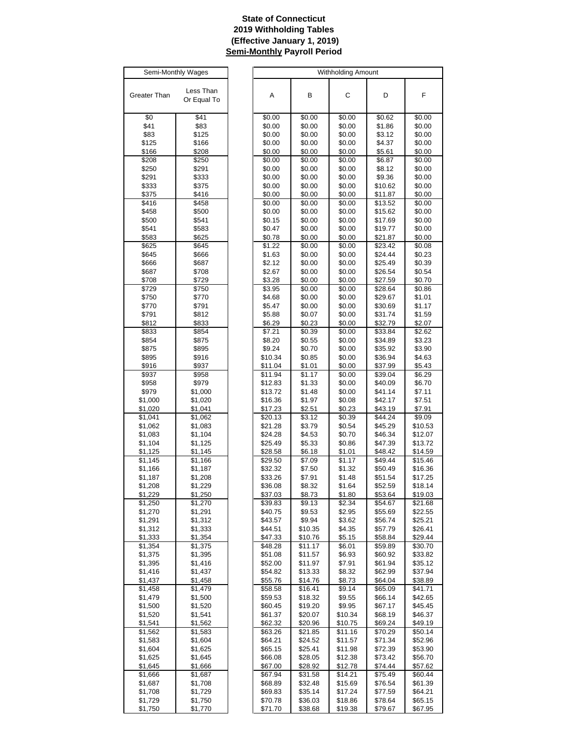# **State of Connecticut 2019 Withholding Tables (Effective January 1, 2019) Semi-Monthly Payroll Period**

| Semi-Monthly Wages |                    |  |  |  |  |
|--------------------|--------------------|--|--|--|--|
|                    |                    |  |  |  |  |
| Greater Than       | Less Than          |  |  |  |  |
|                    | Or Equal To        |  |  |  |  |
| \$0                | \$41               |  |  |  |  |
| \$41               | \$83               |  |  |  |  |
| \$83               | \$125              |  |  |  |  |
| \$125              | \$166              |  |  |  |  |
| \$166              | \$208              |  |  |  |  |
| \$208              | \$250              |  |  |  |  |
| \$250              | \$291              |  |  |  |  |
| \$291              | \$333              |  |  |  |  |
| \$333              | \$375              |  |  |  |  |
| \$375<br>\$416     | \$416<br>\$458     |  |  |  |  |
| \$458              | \$500              |  |  |  |  |
| \$500              | \$541              |  |  |  |  |
| \$541              | \$583              |  |  |  |  |
| \$583              | \$625              |  |  |  |  |
| \$625              | \$645              |  |  |  |  |
| \$645              | \$666              |  |  |  |  |
| \$666              | \$687              |  |  |  |  |
| \$687              | \$708              |  |  |  |  |
| \$708              | \$729              |  |  |  |  |
| \$729              | \$750              |  |  |  |  |
| \$750              | \$770              |  |  |  |  |
| \$770              | \$791              |  |  |  |  |
| \$791<br>\$812     | \$812<br>\$833     |  |  |  |  |
| \$833              | \$854              |  |  |  |  |
| \$854              | \$875              |  |  |  |  |
| \$875              | \$895              |  |  |  |  |
| \$895              | \$916              |  |  |  |  |
| \$916              | \$937              |  |  |  |  |
| \$937              | \$958              |  |  |  |  |
| \$958              | \$979              |  |  |  |  |
| \$979              | \$1,000            |  |  |  |  |
| \$1,000            | \$1,020            |  |  |  |  |
| \$1,020            | \$1,041            |  |  |  |  |
| \$1,041            | \$1,062            |  |  |  |  |
| \$1,062            | \$1,083            |  |  |  |  |
| \$1,083<br>\$1,104 | \$1,104<br>\$1,125 |  |  |  |  |
| \$1,125            | \$1,145            |  |  |  |  |
| \$1,145            | \$1,166            |  |  |  |  |
| \$1,166            | \$1,187            |  |  |  |  |
| \$1,187            | \$1,208            |  |  |  |  |
| \$1,208            | \$1,229            |  |  |  |  |
| \$1.229            | \$1,250            |  |  |  |  |
| \$1,250            | \$1,270            |  |  |  |  |
| \$1,270            | \$1,291            |  |  |  |  |
| \$1,291            | \$1,312            |  |  |  |  |
| \$1,312            | \$1,333            |  |  |  |  |
| \$1,333            | \$1,354            |  |  |  |  |
| \$1,354            | \$1,375            |  |  |  |  |
| \$1,375<br>\$1,395 | \$1,395<br>\$1,416 |  |  |  |  |
| \$1,416            | \$1,437            |  |  |  |  |
| \$1,437            | \$1,458            |  |  |  |  |
| \$1,458            | \$1,479            |  |  |  |  |
| \$1,479            | \$1,500            |  |  |  |  |
| \$1,500            | \$1,520            |  |  |  |  |
| \$1,520            | \$1,541            |  |  |  |  |
| \$1,541            | \$1,562            |  |  |  |  |
| \$1,562            | \$1,583            |  |  |  |  |
| \$1,583            | \$1,604            |  |  |  |  |
| \$1,604            | \$1,625            |  |  |  |  |
| \$1,625            | \$1,645            |  |  |  |  |
| \$1,645            | \$1,666            |  |  |  |  |
| \$1,666            | \$1,687            |  |  |  |  |
| \$1,687            | \$1,708            |  |  |  |  |
| \$1,708<br>\$1,729 | \$1,729<br>\$1,750 |  |  |  |  |
| \$1,750            | \$1,770            |  |  |  |  |
|                    |                    |  |  |  |  |

| Semi-Monthly Wages |             |         |         | <b>Withholding Amount</b> |         |         |
|--------------------|-------------|---------|---------|---------------------------|---------|---------|
|                    |             |         |         |                           |         |         |
|                    |             |         |         |                           |         |         |
| eater Than         | Less Than   | А       | В       | C                         | D       | F       |
|                    | Or Equal To |         |         |                           |         |         |
|                    |             |         |         |                           |         |         |
| \$0                | \$41        | \$0.00  | \$0.00  | \$0.00                    | \$0.62  | \$0.00  |
| \$41               | \$83        | \$0.00  | \$0.00  | \$0.00                    | \$1.86  | \$0.00  |
|                    |             |         |         |                           |         |         |
| \$83               | \$125       | \$0.00  | \$0.00  | \$0.00                    | \$3.12  | \$0.00  |
| \$125              | \$166       | \$0.00  | \$0.00  | \$0.00                    | \$4.37  | \$0.00  |
| \$166              | \$208       | \$0.00  | \$0.00  | \$0.00                    | \$5.61  | \$0.00  |
| \$208              | \$250       | \$0.00  | \$0.00  | \$0.00                    | \$6.87  | \$0.00  |
| \$250              | \$291       | \$0.00  | \$0.00  | \$0.00                    | \$8.12  | \$0.00  |
| \$291              | \$333       | \$0.00  | \$0.00  | \$0.00                    | \$9.36  | \$0.00  |
|                    |             | \$0.00  |         |                           |         |         |
| \$333              | \$375       |         | \$0.00  | \$0.00                    | \$10.62 | \$0.00  |
| \$375              | \$416       | \$0.00  | \$0.00  | \$0.00                    | \$11.87 | \$0.00  |
| \$416              | \$458       | \$0.00  | \$0.00  | \$0.00                    | \$13.52 | \$0.00  |
| \$458              | \$500       | \$0.00  | \$0.00  | \$0.00                    | \$15.62 | \$0.00  |
| \$500              | \$541       | \$0.15  | \$0.00  | \$0.00                    | \$17.69 | \$0.00  |
| \$541              | \$583       | \$0.47  | \$0.00  | \$0.00                    | \$19.77 | \$0.00  |
| \$583              | \$625       | \$0.78  | \$0.00  | \$0.00                    | \$21.87 | \$0.00  |
|                    |             |         |         |                           |         |         |
| \$625              | \$645       | \$1.22  | \$0.00  | \$0.00                    | \$23.42 | \$0.08  |
| \$645              | \$666       | \$1.63  | \$0.00  | \$0.00                    | \$24.44 | \$0.23  |
| \$666              | \$687       | \$2.12  | \$0.00  | \$0.00                    | \$25.49 | \$0.39  |
| \$687              | \$708       | \$2.67  | \$0.00  | \$0.00                    | \$26.54 | \$0.54  |
| \$708              | \$729       | \$3.28  | \$0.00  | \$0.00                    | \$27.59 | \$0.70  |
| \$729              | \$750       | \$3.95  | \$0.00  | \$0.00                    | \$28.64 | \$0.86  |
| \$750              | \$770       | \$4.68  | \$0.00  | \$0.00                    | \$29.67 | \$1.01  |
| \$770              | \$791       | \$5.47  | \$0.00  | \$0.00                    | \$30.69 | \$1.17  |
|                    |             |         |         |                           |         |         |
| \$791              | \$812       | \$5.88  | \$0.07  | \$0.00                    | \$31.74 | \$1.59  |
| \$812              | \$833       | \$6.29  | \$0.23  | \$0.00                    | \$32.79 | \$2.07  |
| \$833              | \$854       | \$7.21  | \$0.39  | \$0.00                    | \$33.84 | \$2.62  |
| \$854              | \$875       | \$8.20  | \$0.55  | \$0.00                    | \$34.89 | \$3.23  |
| \$875              | \$895       | \$9.24  | \$0.70  | \$0.00                    | \$35.92 | \$3.90  |
| \$895              | \$916       | \$10.34 | \$0.85  | \$0.00                    | \$36.94 | \$4.63  |
| \$916              | \$937       | \$11.04 | \$1.01  |                           | \$37.99 |         |
|                    |             |         |         | \$0.00                    |         | \$5.43  |
| \$937              | \$958       | \$11.94 | \$1.17  | \$0.00                    | \$39.04 | \$6.29  |
| \$958              | \$979       | \$12.83 | \$1.33  | \$0.00                    | \$40.09 | \$6.70  |
| \$979              | \$1,000     | \$13.72 | \$1.48  | \$0.00                    | \$41.14 | \$7.11  |
| \$1,000            | \$1,020     | \$16.36 | \$1.97  | \$0.08                    | \$42.17 | \$7.51  |
| \$1,020            | \$1,041     | \$17.23 | \$2.51  | \$0.23                    | \$43.19 | \$7.91  |
| \$1,041            | \$1,062     | \$20.13 | \$3.12  | \$0.39                    | \$44.24 | \$9.09  |
| \$1,062            |             | \$21.28 | \$3.79  | \$0.54                    | \$45.29 | \$10.53 |
|                    | \$1,083     |         |         |                           |         |         |
| \$1,083            | \$1,104     | \$24.28 | \$4.53  | \$0.70                    | \$46.34 | \$12.07 |
| \$1,104            | \$1,125     | \$25.49 | \$5.33  | \$0.86                    | \$47.39 | \$13.72 |
| \$1,125            | \$1,145     | \$28.58 | \$6.18  | \$1.01                    | \$48.42 | \$14.59 |
| \$1,145            | \$1,166     | \$29.50 | \$7.09  | \$1.17                    | \$49.44 | \$15.46 |
| \$1,166            | \$1,187     | \$32.32 | \$7.50  | \$1.32                    | \$50.49 | \$16.36 |
| \$1,187            | \$1,208     | \$33.26 | \$7.91  | \$1.48                    | \$51.54 | \$17.25 |
| \$1,208            | \$1,229     | \$36.08 | \$8.32  | \$1.64                    | \$52.59 | \$18.14 |
| \$1,229            |             | \$37.03 | \$8.73  | \$1.80                    | \$53.64 | \$19.03 |
|                    | \$1,250     |         |         |                           |         |         |
| \$1,250            | \$1,270     | \$39.83 | \$9.13  | \$2.34                    | \$54.67 | \$21.68 |
| \$1,270            | \$1,291     | \$40.75 | \$9.53  | \$2.95                    | \$55.69 | \$22.55 |
| \$1,291            | \$1,312     | \$43.57 | \$9.94  | \$3.62                    | \$56.74 | \$25.21 |
| \$1,312            | \$1,333     | \$44.51 | \$10.35 | \$4.35                    | \$57.79 | \$26.41 |
| \$1,333            | \$1,354     | \$47.33 | \$10.76 | \$5.15                    | \$58.84 | \$29.44 |
| \$1,354            | \$1,375     | \$48.28 | \$11.17 | \$6.01                    | \$59.89 | \$30.70 |
| \$1,375            | \$1,395     | \$51.08 | \$11.57 | \$6.93                    | \$60.92 | \$33.82 |
| \$1,395            | \$1,416     | \$52.00 | \$11.97 | \$7.91                    | \$61.94 | \$35.12 |
|                    |             |         |         |                           |         |         |
| \$1,416            | \$1,437     | \$54.82 | \$13.33 | \$8.32                    | \$62.99 | \$37.94 |
| \$1,437            | \$1,458     | \$55.76 | \$14.76 | \$8.73                    | \$64.04 | \$38.89 |
| \$1,458            | \$1,479     | \$58.58 | \$16.41 | \$9.14                    | \$65.09 | \$41.71 |
| \$1,479            | \$1,500     | \$59.53 | \$18.32 | \$9.55                    | \$66.14 | \$42.65 |
| \$1,500            | \$1,520     | \$60.45 | \$19.20 | \$9.95                    | \$67.17 | \$45.45 |
| \$1,520            | \$1,541     | \$61.37 | \$20.07 | \$10.34                   | \$68.19 | \$46.37 |
| \$1,541            | \$1,562     | \$62.32 | \$20.96 | \$10.75                   | \$69.24 | \$49.19 |
| \$1,562            |             |         |         |                           |         |         |
|                    | \$1,583     | \$63.26 | \$21.85 | \$11.16                   | \$70.29 | \$50.14 |
| \$1,583            | \$1,604     | \$64.21 | \$24.52 | \$11.57                   | \$71.34 | \$52.96 |
| \$1,604            | \$1,625     | \$65.15 | \$25.41 | \$11.98                   | \$72.39 | \$53.90 |
| \$1,625            | \$1,645     | \$66.08 | \$28.05 | \$12.38                   | \$73.42 | \$56.70 |
| \$1,645            | \$1,666     | \$67.00 | \$28.92 | \$12.78                   | \$74.44 | \$57.62 |
| \$1,666            | \$1,687     | \$67.94 | \$31.58 | \$14.21                   | \$75.49 | \$60.44 |
| \$1,687            | \$1,708     | \$68.89 | \$32.48 | \$15.69                   | \$76.54 | \$61.39 |
| \$1,708            | \$1,729     | \$69.83 | \$35.14 | \$17.24                   | \$77.59 | \$64.21 |
| \$1,729            | \$1,750     | \$70.78 | \$36.03 | \$18.86                   | \$78.64 | \$65.15 |
|                    |             |         |         |                           |         |         |
| \$1,750            | \$1,770     | \$71.70 | \$38.68 | \$19.38                   | \$79.67 | \$67.95 |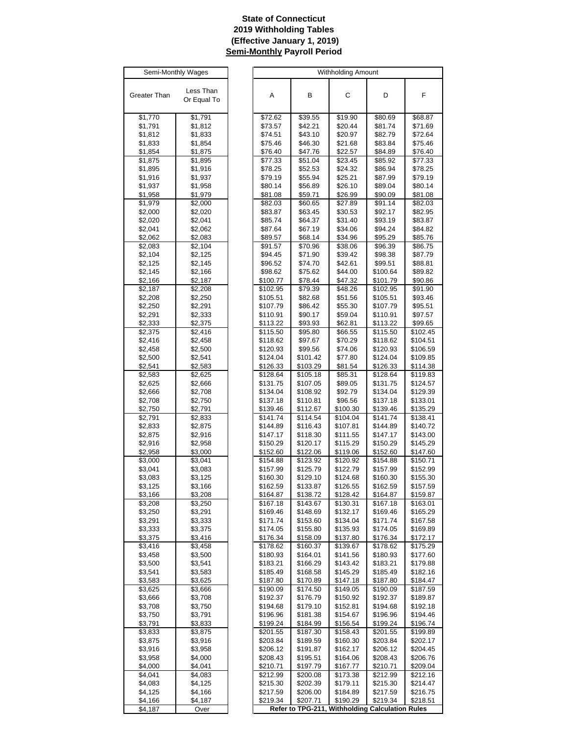# **State of Connecticut 2019 Withholding Tables (Effective January 1, 2019) Semi-Monthly Payroll Period**

| Semi-Monthly Wages |                          |  |  |  |  |
|--------------------|--------------------------|--|--|--|--|
|                    |                          |  |  |  |  |
| Greater Than       | Less Than<br>Or Equal To |  |  |  |  |
|                    |                          |  |  |  |  |
| \$1,770            | \$1,791                  |  |  |  |  |
| \$1,791            | \$1,812                  |  |  |  |  |
| \$1,812            | \$1,833                  |  |  |  |  |
| \$1,833            | \$1,854                  |  |  |  |  |
| \$1,854            | \$1,875                  |  |  |  |  |
| \$1,875<br>\$1,895 | \$1,895<br>\$1,916       |  |  |  |  |
| \$1,916            | \$1,937                  |  |  |  |  |
| \$1,937            | \$1,958                  |  |  |  |  |
| \$1,958            | \$1,979                  |  |  |  |  |
| \$1,979            | \$2,000                  |  |  |  |  |
| \$2,000            | \$2,020                  |  |  |  |  |
| \$2,020            | \$2,041                  |  |  |  |  |
| \$2,041<br>\$2,062 | \$2,062<br>\$2,083       |  |  |  |  |
| \$2,083            | \$2,104                  |  |  |  |  |
| \$2,104            | \$2,125                  |  |  |  |  |
| \$2,125            | \$2,145                  |  |  |  |  |
| \$2,145            | \$2,166                  |  |  |  |  |
| \$2,166            | \$2,187                  |  |  |  |  |
| \$2,187            | \$2,208                  |  |  |  |  |
| \$2,208<br>\$2,250 | \$2,250<br>\$2,291       |  |  |  |  |
| \$2,291            | \$2,333                  |  |  |  |  |
| \$2,333            | \$2,375                  |  |  |  |  |
| \$2,375            | \$2,416                  |  |  |  |  |
| \$2,416            | \$2,458                  |  |  |  |  |
| \$2,458            | \$2,500                  |  |  |  |  |
| \$2,500            | \$2,541                  |  |  |  |  |
| \$2,541            | \$2,583                  |  |  |  |  |
| \$2,583<br>\$2,625 | \$2,625<br>\$2,666       |  |  |  |  |
| \$2,666            | \$2,708                  |  |  |  |  |
| \$2,708            | \$2,750                  |  |  |  |  |
| \$2,750            | \$2,791                  |  |  |  |  |
| \$2,791            | $\overline{$}2,833$      |  |  |  |  |
| \$2,833            | \$2,875                  |  |  |  |  |
| \$2,875            | \$2,916                  |  |  |  |  |
| \$2,916<br>\$2,958 | \$2,958<br>\$3,000       |  |  |  |  |
| \$3,000            | \$3,041                  |  |  |  |  |
| \$3,041            | \$3,083                  |  |  |  |  |
| \$3,083            | \$3,125                  |  |  |  |  |
| \$3,125            | \$3,166                  |  |  |  |  |
| \$3,166            | \$3,208                  |  |  |  |  |
| \$3,208            | \$3,250                  |  |  |  |  |
| \$3,250            | \$3,291                  |  |  |  |  |
| \$3,291<br>\$3,333 | \$3,333<br>\$3,375       |  |  |  |  |
| \$3,375            | \$3,416                  |  |  |  |  |
| \$3,416            | \$3,458                  |  |  |  |  |
| \$3,458            | \$3,500                  |  |  |  |  |
| \$3,500            | \$3,541                  |  |  |  |  |
| \$3,541            | \$3,583                  |  |  |  |  |
| \$3,583            | \$3,625                  |  |  |  |  |
| \$3,625            | \$3,666                  |  |  |  |  |
| \$3,666<br>\$3,708 | \$3,708<br>\$3,750       |  |  |  |  |
| \$3,750            | \$3,791                  |  |  |  |  |
| \$3,791            | \$3,833                  |  |  |  |  |
| \$3,833            | \$3,875                  |  |  |  |  |
| \$3,875            | \$3,916                  |  |  |  |  |
| \$3,916            | \$3,958                  |  |  |  |  |
| \$3,958            | \$4,000                  |  |  |  |  |
| \$4,000            | \$4,041                  |  |  |  |  |
| \$4,041<br>\$4,083 | \$4,083<br>\$4,125       |  |  |  |  |
| \$4,125            | \$4,166                  |  |  |  |  |
| <u>\$4,166</u>     | \$4,187                  |  |  |  |  |
| \$4,187            | Over                     |  |  |  |  |

| Semi-Monthly Wages |                    |                      |                      | <b>Withholding Amount</b> |                                                 |                      |
|--------------------|--------------------|----------------------|----------------------|---------------------------|-------------------------------------------------|----------------------|
|                    |                    |                      |                      |                           |                                                 |                      |
| eater Than         | Less Than          | Α                    | В                    | C                         | D                                               | F                    |
|                    | Or Equal To        |                      |                      |                           |                                                 |                      |
| \$1,770            | \$1,791            | \$72.62              | \$39.55              | \$19.90                   | \$80.69                                         | \$68.87              |
| \$1,791            | \$1,812            | \$73.57              | \$42.21              | \$20.44                   | \$81.74                                         | \$71.69              |
| \$1,812            | \$1,833            | \$74.51              | \$43.10              | \$20.97                   | \$82.79                                         | \$72.64              |
| \$1,833            | \$1,854            | \$75.46              | \$46.30              | \$21.68                   | \$83.84                                         | \$75.46              |
| \$1,854            | \$1,875            | \$76.40              | \$47.76              | \$22.57                   | \$84.89                                         | \$76.40              |
| \$1,875            | \$1,895            | \$77.33              | \$51.04              | \$23.45                   | \$85.92                                         | \$77.33              |
| \$1,895            | \$1,916            | \$78.25              | \$52.53              | \$24.32                   | \$86.94                                         | \$78.25              |
| \$1,916<br>\$1,937 | \$1,937<br>\$1,958 | \$79.19<br>\$80.14   | \$55.94<br>\$56.89   | \$25.21<br>\$26.10        | \$87.99<br>\$89.04                              | \$79.19<br>\$80.14   |
| \$1,958            | \$1,979            | \$81.08              | \$59.71              | \$26.99                   | \$90.09                                         | \$81.08              |
| \$1,979            | \$2,000            | \$82.03              | \$60.65              | \$27.89                   | \$91.14                                         | \$82.03              |
| \$2,000            | \$2,020            | \$83.87              | \$63.45              | \$30.53                   | \$92.17                                         | \$82.95              |
| \$2,020            | \$2,041            | \$85.74              | \$64.37              | \$31.40                   | \$93.19                                         | \$83.87              |
| \$2,041            | \$2,062            | \$87.64              | \$67.19              | \$34.06                   | \$94.24                                         | \$84.82              |
| \$2,062            | \$2,083            | \$89.57              | \$68.14              | \$34.96                   | \$95.29                                         | \$85.76              |
| \$2,083<br>\$2,104 | \$2,104<br>\$2,125 | \$91.57<br>\$94.45   | \$70.96<br>\$71.90   | \$38.06<br>\$39.42        | \$96.39<br>\$98.38                              | \$86.75<br>\$87.79   |
| \$2,125            | \$2,145            | \$96.52              | \$74.70              | \$42.61                   | \$99.51                                         | \$88.81              |
| \$2,145            | \$2,166            | \$98.62              | \$75.62              | \$44.00                   | \$100.64                                        | \$89.82              |
| \$2,166            | \$2,187            | \$100.77             | \$78.44              | \$47.32                   | \$101.79                                        | \$90.86              |
| \$2,187            | \$2,208            | \$102.95             | \$79.39              | \$48.26                   | \$102.95                                        | \$91.90              |
| \$2,208            | \$2,250            | \$105.51             | \$82.68              | \$51.56                   | \$105.51                                        | \$93.46              |
| \$2,250            | \$2,291<br>\$2,333 | \$107.79<br>\$110.91 | \$86.42<br>\$90.17   | \$55.30<br>\$59.04        | \$107.79<br>\$110.91                            | \$95.51<br>\$97.57   |
| \$2,291<br>\$2,333 | \$2,375            | \$113.22             | \$93.93              | \$62.81                   | \$113.22                                        | \$99.65              |
| \$2,375            | \$2,416            | \$115.50             | \$95.80              | \$66.55                   | \$115.50                                        | \$102.45             |
| \$2,416            | \$2,458            | \$118.62             | \$97.67              | \$70.29                   | \$118.62                                        | \$104.51             |
| \$2,458            | \$2,500            | \$120.93             | \$99.56              | \$74.06                   | \$120.93                                        | \$106.59             |
| \$2,500            | \$2,541            | \$124.04             | \$101.42             | \$77.80                   | \$124.04                                        | \$109.85             |
| \$2,541            | \$2,583            | \$126.33             | \$103.29             | \$81.54                   | \$126.33                                        | \$114.38             |
| \$2,583<br>\$2,625 | \$2,625<br>\$2,666 | \$128.64<br>\$131.75 | \$105.18<br>\$107.05 | \$85.31<br>\$89.05        | \$128.64<br>\$131.75                            | \$119.83<br>\$124.57 |
| \$2,666            | \$2,708            | \$134.04             | \$108.92             | \$92.79                   | \$134.04                                        | \$129.39             |
| \$2,708            | \$2,750            | \$137.18             | \$110.81             | \$96.56                   | \$137.18                                        | \$133.01             |
| \$2,750            | \$2,791            | \$139.46             | \$112.67             | \$100.30                  | \$139.46                                        | \$135.29             |
| \$2,791            | \$2,833            | \$141.74             | \$114.54             | \$104.04                  | \$141.74                                        | \$138.41             |
| \$2,833            | \$2,875            | \$144.89             | \$116.43             | \$107.81                  | \$144.89                                        | \$140.72             |
| \$2,875            | \$2,916            | \$147.17             | \$118.30             | \$111.55                  | \$147.17<br>\$150.29                            | \$143.00             |
| \$2,916<br>\$2,958 | \$2,958<br>\$3,000 | \$150.29<br>\$152.60 | \$120.17<br>\$122.06 | \$115.29<br>\$119.06      | \$152.60                                        | \$145.29<br>\$147.60 |
| \$3,000            | \$3,041            | \$154.88             | \$123.92             | \$120.92                  | \$154.88                                        | \$150.71             |
| \$3,041            | \$3,083            | \$157.99             | \$125.79             | \$122.79                  | \$157.99                                        | \$152.99             |
| \$3,083            | \$3,125            | \$160.30             | \$129.10             | \$124.68                  | \$160.30                                        | \$155.30             |
| \$3,125            | \$3,166            | \$162.59             | \$133.87             | \$126.55                  | \$162.59                                        | \$157.59             |
| \$3,166            | \$3,208            | \$164.87             | \$138.72             | \$128.42                  | \$164.87                                        | \$159.87             |
| \$3,208<br>\$3,250 | \$3,250<br>\$3,291 | \$167.18<br>\$169.46 | \$143.67<br>\$148.69 | \$130.31<br>\$132.17      | \$167.18<br>\$169.46                            | \$163.01<br>\$165.29 |
| \$3,291            | \$3,333            | \$171.74             | \$153.60             | \$134.04                  | \$171.74                                        | \$167.58             |
| \$3,333            | \$3,375            | \$174.05             | \$155.80             | \$135.93                  | \$174.05                                        | \$169.89             |
| \$3,375            | \$3,416            | \$176.34             | \$158.09             | \$137.80                  | \$176.34                                        | \$172.17             |
| \$3,416            | \$3,458            | \$178.62             | \$160.37             | \$139.67                  | \$178.62                                        | \$175.29             |
| \$3,458            | \$3,500            | \$180.93             | \$164.01             | \$141.56                  | \$180.93                                        | \$177.60             |
| \$3,500<br>\$3,541 | \$3,541<br>\$3,583 | \$183.21<br>\$185.49 | \$166.29<br>\$168.58 | \$143.42<br>\$145.29      | \$183.21<br>\$185.49                            | \$179.88<br>\$182.16 |
| \$3,583            | \$3,625            | \$187.80             | \$170.89             | \$147.18                  | \$187.80                                        | \$184.47             |
| \$3,625            | \$3,666            | \$190.09             | \$174.50             | \$149.05                  | \$190.09                                        | \$187.59             |
| \$3,666            | \$3,708            | \$192.37             | \$176.79             | \$150.92                  | \$192.37                                        | \$189.87             |
| \$3,708            | \$3,750            | \$194.68             | \$179.10             | \$152.81                  | \$194.68                                        | \$192.18             |
| \$3,750            | \$3,791            | \$196.96             | \$181.38             | \$154.67                  | \$196.96                                        | \$194.46             |
| \$3,791            | \$3,833            | \$199.24             | \$184.99             | \$156.54                  | \$199.24                                        | \$196.74             |
| \$3,833<br>\$3,875 | \$3,875<br>\$3,916 | \$201.55<br>\$203.84 | \$187.30<br>\$189.59 | \$158.43<br>\$160.30      | \$201.55<br>\$203.84                            | \$199.89<br>\$202.17 |
| \$3,916            | \$3,958            | \$206.12             | \$191.87             | \$162.17                  | \$206.12                                        | \$204.45             |
| \$3,958            | \$4,000            | \$208.43             | \$195.51             | \$164.06                  | \$208.43                                        | \$206.76             |
| \$4,000            | \$4,041            | \$210.71             | \$197.79             | \$167.77                  | \$210.71                                        | \$209.04             |
| \$4,041            | \$4,083            | \$212.99             | \$200.08             | \$173.38                  | \$212.99                                        | \$212.16             |
| \$4,083            | \$4,125            | \$215.30             | \$202.39             | \$179.11                  | \$215.30                                        | \$214.47             |
| \$4,125<br>\$4,166 | \$4,166<br>\$4,187 | \$217.59<br>\$219.34 | \$206.00<br>\$207.71 | \$184.89<br>\$190.29      | \$217.59<br>\$219.34                            | \$216.75<br>\$218.51 |
| \$4,187            | Over               |                      |                      |                           | Refer to TPG-211, Withholding Calculation Rules |                      |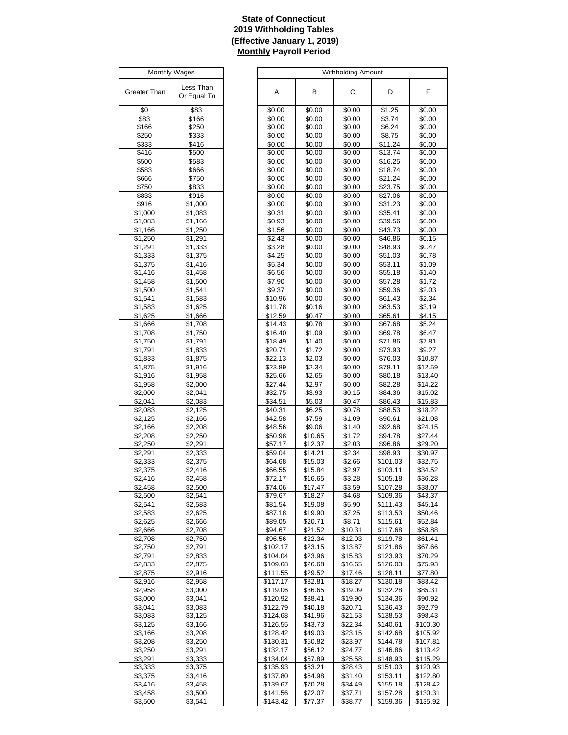# **State of Connecticut 2019 Withholding Tables (Effective January 1, 2019) Monthly Payroll Period**

| Monthly Wages      |                          |  |  |
|--------------------|--------------------------|--|--|
| Greater Than       | Less Than<br>Or Equal To |  |  |
| \$0                | \$83                     |  |  |
| \$83               | \$166                    |  |  |
| \$166              | \$250                    |  |  |
| \$250              | \$333                    |  |  |
| \$333              | \$416                    |  |  |
| \$416              | \$500                    |  |  |
| \$500              | \$583                    |  |  |
| \$583              | \$666                    |  |  |
| \$666              | \$750                    |  |  |
| \$750              | \$833                    |  |  |
| \$833<br>\$916     | \$916<br>\$1,000         |  |  |
| \$1,000            | \$1,083                  |  |  |
| \$1,083            | \$1,166                  |  |  |
| \$1,166            | \$1,250                  |  |  |
| \$1,250            | \$1,291                  |  |  |
| \$1,291            | \$1,333                  |  |  |
| \$1,333            | \$1,375                  |  |  |
| \$1,375            | \$1,416                  |  |  |
| <u>\$1,416</u>     | <u>\$1,458</u>           |  |  |
| \$1,458            | \$1,500                  |  |  |
| \$1,500            | \$1,541                  |  |  |
| \$1,541            | \$1,583                  |  |  |
| \$1,583            | \$1,625                  |  |  |
| \$1,625            | \$1,666                  |  |  |
| \$1,666            | \$1,708                  |  |  |
| \$1,708            | \$1,750                  |  |  |
| \$1,750            | \$1,791                  |  |  |
| \$1,791            | \$1,833                  |  |  |
| \$1,833            | \$1,875                  |  |  |
| \$1,875            | \$1,916                  |  |  |
| \$1,916            | \$1,958                  |  |  |
| \$1,958            | \$2,000                  |  |  |
| \$2,000            | \$2,041                  |  |  |
| \$2,041            | \$2,083                  |  |  |
| \$2,083            | \$2,125                  |  |  |
| \$2,125            | \$2,166                  |  |  |
| \$2,166            | \$2,208                  |  |  |
| \$2,208            | \$2,250                  |  |  |
| \$2,250<br>\$2,291 | \$2,291<br>\$2,333       |  |  |
| \$2,333            | \$2,375                  |  |  |
| \$2,375            | \$2,416                  |  |  |
| \$2.416            | \$2,458                  |  |  |
| \$2,458            | \$2,500                  |  |  |
| \$2,500            | \$2,541                  |  |  |
| \$2,541            | \$2,583                  |  |  |
| \$2,583            | \$2,625                  |  |  |
| \$2,625            | \$2,666                  |  |  |
| \$2,666            | \$2,708                  |  |  |
| \$2,708            | \$2,750                  |  |  |
| \$2,750            | \$2,791                  |  |  |
| \$2,791            | \$2,833                  |  |  |
| \$2,833            | \$2,875                  |  |  |
| \$2,875            | \$2,916                  |  |  |
| \$2,916            | \$2,958                  |  |  |
| \$2,958            | \$3,000                  |  |  |
| \$3,000            | \$3,041                  |  |  |
| \$3,041            | \$3,083                  |  |  |
| \$3,083            | \$3,125                  |  |  |
| \$3,125            | \$3,166                  |  |  |
| \$3,166            | \$3,208                  |  |  |
| \$3,208            | \$3,250                  |  |  |
| \$3,250            | \$3,291                  |  |  |
| \$3,291            | \$3,333                  |  |  |
| \$3,333            | \$3,375                  |  |  |
| \$3,375            | \$3,416                  |  |  |
| \$3,416            | \$3,458                  |  |  |
| \$3,458            | \$3,500                  |  |  |
| \$3,500            | \$3,541                  |  |  |

| <b>Monthly Wages</b> |                     |                      |                    | Withholding Amount |                      |                      |
|----------------------|---------------------|----------------------|--------------------|--------------------|----------------------|----------------------|
|                      | Less Than           |                      |                    |                    |                      |                      |
| eater Than           | Or Equal To         | Α                    | в                  | С                  | D                    | F                    |
| \$0                  | \$83                | \$0.00               | \$0.00             | \$0.00             | \$1.25               | \$0.00               |
| \$83                 | \$166               | \$0.00               | \$0.00             | \$0.00             | \$3.74               | \$0.00               |
| \$166                | \$250               | \$0.00               | \$0.00             | \$0.00             | \$6.24               | \$0.00               |
| \$250                | \$333               | \$0.00               | \$0.00             | \$0.00             | \$8.75               | \$0.00               |
| \$333<br>\$416       | \$416<br>\$500      | \$0.00<br>\$0.00     | \$0.00<br>\$0.00   | \$0.00<br>\$0.00   | \$11.24<br>\$13.74   | \$0.00<br>\$0.00     |
| \$500                | \$583               | \$0.00               | \$0.00             | \$0.00             | \$16.25              | \$0.00               |
| \$583                | \$666               | \$0.00               | \$0.00             | \$0.00             | \$18.74              | \$0.00               |
| \$666                | \$750               | \$0.00               | \$0.00             | \$0.00             | \$21.24              | \$0.00               |
| \$750                | \$833               | \$0.00               | \$0.00             | \$0.00             | \$23.75              | \$0.00               |
| \$833                | \$916               | \$0.00               | \$0.00             | \$0.00             | \$27.06              | \$0.00               |
| \$916                | \$1,000             | \$0.00               | \$0.00             | \$0.00             | \$31.23              | \$0.00               |
| \$1,000              | \$1,083             | \$0.31               | \$0.00             | \$0.00             | \$35.41              | \$0.00               |
| \$1,083<br>\$1,166   | \$1,166<br>\$1,250  | \$0.93<br>\$1.56     | \$0.00<br>\$0.00   | \$0.00<br>\$0.00   | \$39.56<br>\$43.73   | \$0.00<br>\$0.00     |
| \$1,250              | \$1,291             | \$2.43               | \$0.00             | \$0.00             | \$46.86              | \$0.15               |
| \$1,291              | \$1,333             | \$3.28               | \$0.00             | \$0.00             | \$48.93              | \$0.47               |
| \$1,333              | \$1,375             | \$4.25               | \$0.00             | \$0.00             | \$51.03              | \$0.78               |
| \$1,375              | \$1,416             | \$5.34               | \$0.00             | \$0.00             | \$53.11              | \$1.09               |
| \$1,416              | \$1,458             | \$6.56               | \$0.00             | \$0.00             | \$55.18              | \$1.40               |
| \$1,458              | \$1,500             | \$7.90               | \$0.00             | \$0.00             | \$57.28              | \$1.72               |
| \$1,500              | \$1,541             | \$9.37               | \$0.00             | \$0.00             | \$59.36              | \$2.03               |
| \$1,541              | \$1,583             | \$10.96              | \$0.00             | \$0.00             | \$61.43              | \$2.34               |
| \$1,583<br>\$1,625   | \$1,625<br>\$1,666  | \$11.78<br>\$12.59   | \$0.16<br>\$0.47   | \$0.00<br>\$0.00   | \$63.53<br>\$65.61   | \$3.19<br>\$4.15     |
| \$1,666              | $\overline{$1,708}$ | \$14.43              | \$0.78             | \$0.00             | \$67.68              | \$5.24               |
| \$1,708              | \$1,750             | \$16.40              | \$1.09             | \$0.00             | \$69.78              | \$6.47               |
| \$1,750              | \$1,791             | \$18.49              | \$1.40             | \$0.00             | \$71.86              | \$7.81               |
| \$1,791              | \$1,833             | \$20.71              | \$1.72             | \$0.00             | \$73.93              | \$9.27               |
| \$1,833              | \$1,875             | \$22.13              | \$2.03             | \$0.00             | \$76.03              | \$10.87              |
| \$1,875              | \$1,916             | \$23.89              | \$2.34             | \$0.00             | \$78.11              | \$12.59              |
| \$1,916              | \$1,958             | \$25.66              | \$2.65             | \$0.00             | \$80.18              | \$13.40              |
| \$1,958<br>\$2,000   | \$2,000<br>\$2,041  | \$27.44<br>\$32.75   | \$2.97<br>\$3.93   | \$0.00<br>\$0.15   | \$82.28<br>\$84.36   | \$14.22<br>\$15.02   |
| \$2,041              | \$2,083             | \$34.51              | \$5.03             | \$0.47             | \$86.43              | \$15.83              |
| \$2,083              | \$2,125             | \$40.31              | \$6.25             | \$0.78             | \$88.53              | \$18.22              |
| \$2,125              | \$2,166             | \$42.58              | \$7.59             | \$1.09             | \$90.61              | \$21.08              |
| \$2,166              | \$2,208             | \$48.56              | \$9.06             | \$1.40             | \$92.68              | \$24.15              |
| \$2,208              | \$2,250             | \$50.98              | \$10.65            | \$1.72             | \$94.78              | \$27.44              |
| \$2,250              | \$2,291             | \$57.17              | \$12.37            | \$2.03             | \$96.86              | \$29.20              |
| \$2,291<br>\$2,333   | \$2,333<br>\$2,375  | \$59.04<br>\$64.68   | \$14.21<br>\$15.03 | \$2.34<br>\$2.66   | \$98.93<br>\$101.03  | \$30.97<br>\$32.75   |
| \$2,375              | \$2,416             | \$66.55              | \$15.84            | \$2.97             | \$103.11             | \$34.52              |
| \$2,416              | \$2,458             | \$72.17              | \$16.65            | \$3.28             | \$105.18             | \$36.28              |
| \$2,458              | \$2,500             | \$74.06              | \$17.47            | \$3.59             | \$107.28             | \$38.07              |
| \$2,500              | \$2,541             | \$79.67              | \$18.27            | \$4.68             | \$109.36             | \$43.37              |
| \$2,541              | \$2,583             | \$81.54              | \$19.08            | \$5.90             | \$111.43             | \$45.14              |
| \$2,583              | \$2,625             | \$87.18              | \$19.90            | \$7.25             | \$113.53             | \$50.46              |
| \$2,625              | \$2,666             | \$89.05<br>\$94.67   | \$20.71            | \$8.71<br>\$10.31  | \$115.61             | \$52.84              |
| \$2,666<br>\$2,708   | \$2,708<br>\$2,750  | \$96.56              | \$21.52<br>\$22.34 | \$12.03            | \$117.68<br>\$119.78 | \$58.88<br>\$61.41   |
| \$2,750              | \$2,791             | \$102.17             | \$23.15            | \$13.87            | \$121.86             | \$67.66              |
| \$2,791              | \$2,833             | \$104.04             | \$23.96            | \$15.83            | \$123.93             | \$70.29              |
| \$2,833              | \$2,875             | \$109.68             | \$26.68            | \$16.65            | \$126.03             | \$75.93              |
| \$2,875              | \$2,916             | \$111.55             | \$29.52            | \$17.46            | \$128.11             | \$77.80              |
| \$2,916              | \$2,958             | \$117.17             | \$32.81            | \$18.27            | \$130.18             | \$83.42              |
| \$2,958              | \$3,000             | \$119.06             | \$36.65            | \$19.09            | \$132.28             | \$85.31              |
| \$3,000              | \$3,041             | \$120.92<br>\$122.79 | \$38.41<br>\$40.18 | \$19.90<br>\$20.71 | \$134.36<br>\$136.43 | \$90.92<br>\$92.79   |
| \$3,041<br>\$3,083   | \$3,083<br>\$3,125  | \$124.68             | \$41.96            | \$21.53            | \$138.53             | \$98.43              |
| \$3,125              | \$3,166             | \$126.55             | \$43.73            | \$22.34            | \$140.61             | \$100.30             |
| \$3,166              | \$3,208             | \$128.42             | \$49.03            | \$23.15            | \$142.68             | \$105.92             |
| \$3,208              | \$3,250             | \$130.31             | \$50.82            | \$23.97            | \$144.78             | \$107.81             |
| \$3,250              | \$3,291             | \$132.17             | \$56.12            | \$24.77            | \$146.86             | \$113.42             |
| \$3,291              | \$3,333             | \$134.04             | \$57.89            | \$25.58            | \$148.93             | \$115.29             |
| \$3,333              | \$3,375             | \$135.93             | \$63.21            | \$28.43            | \$151.03             | \$120.93             |
| \$3,375<br>\$3,416   | \$3,416<br>\$3,458  | \$137.80<br>\$139.67 | \$64.98<br>\$70.28 | \$31.40<br>\$34.49 | \$153.11<br>\$155.18 | \$122.80<br>\$128.42 |
| \$3,458              | \$3,500             | \$141.56             | \$72.07            | \$37.71            | \$157.28             | \$130.31             |
| \$3,500              | \$3,541             | \$143.42             | \$77.37            | \$38.77            | \$159.36             | \$135.92             |